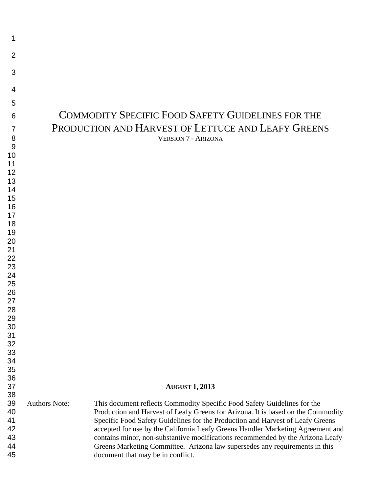| 1                                      |                      |                                                                                                                                                                                                                                                                                                                                                                                                                                                                                                                                         |
|----------------------------------------|----------------------|-----------------------------------------------------------------------------------------------------------------------------------------------------------------------------------------------------------------------------------------------------------------------------------------------------------------------------------------------------------------------------------------------------------------------------------------------------------------------------------------------------------------------------------------|
| $\overline{2}$                         |                      |                                                                                                                                                                                                                                                                                                                                                                                                                                                                                                                                         |
| 3                                      |                      |                                                                                                                                                                                                                                                                                                                                                                                                                                                                                                                                         |
| 4                                      |                      |                                                                                                                                                                                                                                                                                                                                                                                                                                                                                                                                         |
| 5                                      |                      |                                                                                                                                                                                                                                                                                                                                                                                                                                                                                                                                         |
| 6                                      |                      | <b>COMMODITY SPECIFIC FOOD SAFETY GUIDELINES FOR THE</b>                                                                                                                                                                                                                                                                                                                                                                                                                                                                                |
| 7                                      |                      | PRODUCTION AND HARVEST OF LETTUCE AND LEAFY GREENS                                                                                                                                                                                                                                                                                                                                                                                                                                                                                      |
| 8                                      |                      | <b>VERSION 7 - ARIZONA</b>                                                                                                                                                                                                                                                                                                                                                                                                                                                                                                              |
| 9                                      |                      |                                                                                                                                                                                                                                                                                                                                                                                                                                                                                                                                         |
| 10<br>11                               |                      |                                                                                                                                                                                                                                                                                                                                                                                                                                                                                                                                         |
| 12                                     |                      |                                                                                                                                                                                                                                                                                                                                                                                                                                                                                                                                         |
| 13                                     |                      |                                                                                                                                                                                                                                                                                                                                                                                                                                                                                                                                         |
| 14<br>15                               |                      |                                                                                                                                                                                                                                                                                                                                                                                                                                                                                                                                         |
| 16                                     |                      |                                                                                                                                                                                                                                                                                                                                                                                                                                                                                                                                         |
| 17                                     |                      |                                                                                                                                                                                                                                                                                                                                                                                                                                                                                                                                         |
| 18                                     |                      |                                                                                                                                                                                                                                                                                                                                                                                                                                                                                                                                         |
| 19<br>20                               |                      |                                                                                                                                                                                                                                                                                                                                                                                                                                                                                                                                         |
| 21                                     |                      |                                                                                                                                                                                                                                                                                                                                                                                                                                                                                                                                         |
| 22                                     |                      |                                                                                                                                                                                                                                                                                                                                                                                                                                                                                                                                         |
| 23                                     |                      |                                                                                                                                                                                                                                                                                                                                                                                                                                                                                                                                         |
| 24<br>25                               |                      |                                                                                                                                                                                                                                                                                                                                                                                                                                                                                                                                         |
| 26                                     |                      |                                                                                                                                                                                                                                                                                                                                                                                                                                                                                                                                         |
| 27                                     |                      |                                                                                                                                                                                                                                                                                                                                                                                                                                                                                                                                         |
| 28<br>29                               |                      |                                                                                                                                                                                                                                                                                                                                                                                                                                                                                                                                         |
| 30                                     |                      |                                                                                                                                                                                                                                                                                                                                                                                                                                                                                                                                         |
| 31                                     |                      |                                                                                                                                                                                                                                                                                                                                                                                                                                                                                                                                         |
| 32                                     |                      |                                                                                                                                                                                                                                                                                                                                                                                                                                                                                                                                         |
| 33<br>34                               |                      |                                                                                                                                                                                                                                                                                                                                                                                                                                                                                                                                         |
| 35                                     |                      |                                                                                                                                                                                                                                                                                                                                                                                                                                                                                                                                         |
| 36                                     |                      |                                                                                                                                                                                                                                                                                                                                                                                                                                                                                                                                         |
| 37<br>38                               |                      | <b>AUGUST 1, 2013</b>                                                                                                                                                                                                                                                                                                                                                                                                                                                                                                                   |
| 39<br>40<br>41<br>42<br>43<br>44<br>45 | <b>Authors Note:</b> | This document reflects Commodity Specific Food Safety Guidelines for the<br>Production and Harvest of Leafy Greens for Arizona. It is based on the Commodity<br>Specific Food Safety Guidelines for the Production and Harvest of Leafy Greens<br>accepted for use by the California Leafy Greens Handler Marketing Agreement and<br>contains minor, non-substantive modifications recommended by the Arizona Leafy<br>Greens Marketing Committee. Arizona law supersedes any requirements in this<br>document that may be in conflict. |
|                                        |                      |                                                                                                                                                                                                                                                                                                                                                                                                                                                                                                                                         |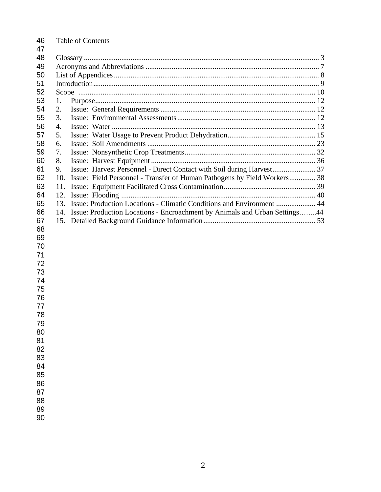| 46<br>47 | <b>Table of Contents</b>                                                          |  |  |  |
|----------|-----------------------------------------------------------------------------------|--|--|--|
| 48       |                                                                                   |  |  |  |
| 49       |                                                                                   |  |  |  |
| 50       |                                                                                   |  |  |  |
| 51       |                                                                                   |  |  |  |
| 52       |                                                                                   |  |  |  |
| 53       | 1.                                                                                |  |  |  |
| 54       | 2.                                                                                |  |  |  |
| 55       | 3.                                                                                |  |  |  |
| 56       | 4.                                                                                |  |  |  |
| 57       | 5.                                                                                |  |  |  |
| 58       | 6.                                                                                |  |  |  |
| 59       | 7.                                                                                |  |  |  |
| 60       | 8.                                                                                |  |  |  |
| 61       | 9.                                                                                |  |  |  |
| 62       | Issue: Field Personnel - Transfer of Human Pathogens by Field Workers 38<br>10.   |  |  |  |
| 63       | 11.                                                                               |  |  |  |
| 64       | 12.                                                                               |  |  |  |
| 65       | Issue: Production Locations - Climatic Conditions and Environment  44<br>13.      |  |  |  |
| 66       | Issue: Production Locations - Encroachment by Animals and Urban Settings44<br>14. |  |  |  |
| 67       | 15.                                                                               |  |  |  |
| 68       |                                                                                   |  |  |  |
| 69       |                                                                                   |  |  |  |
| 70       |                                                                                   |  |  |  |
| 71       |                                                                                   |  |  |  |
| 72       |                                                                                   |  |  |  |
| 73       |                                                                                   |  |  |  |
| 74       |                                                                                   |  |  |  |
| 75       |                                                                                   |  |  |  |
| 76       |                                                                                   |  |  |  |
| 77       |                                                                                   |  |  |  |
| 78       |                                                                                   |  |  |  |
| 79       |                                                                                   |  |  |  |
| 80       |                                                                                   |  |  |  |
| 81       |                                                                                   |  |  |  |
| 82       |                                                                                   |  |  |  |
| 83       |                                                                                   |  |  |  |
| 84       |                                                                                   |  |  |  |
| 85       |                                                                                   |  |  |  |
| 86       |                                                                                   |  |  |  |
| 87       |                                                                                   |  |  |  |
| 88       |                                                                                   |  |  |  |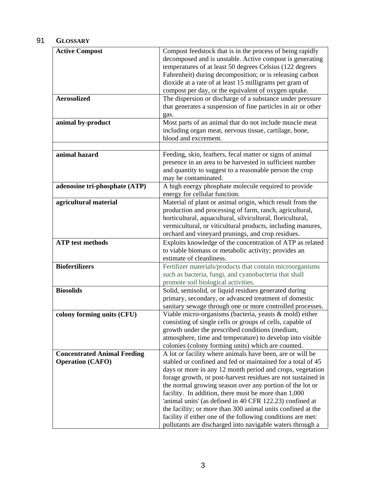# 91 **GLOSSARY**

| <b>Active Compost</b>              | Compost feedstock that is in the process of being rapidly                                                                  |
|------------------------------------|----------------------------------------------------------------------------------------------------------------------------|
|                                    | decomposed and is unstable. Active compost is generating                                                                   |
|                                    | temperatures of at least 50 degrees Celsius (122 degrees                                                                   |
|                                    | Fahrenheit) during decomposition; or is releasing carbon                                                                   |
|                                    | dioxide at a rate of at least 15 milligrams per gram of                                                                    |
|                                    | compost per day, or the equivalent of oxygen uptake.                                                                       |
| <b>Aerosolized</b>                 | The dispersion or discharge of a substance under pressure                                                                  |
|                                    | that generates a suspension of fine particles in air or other                                                              |
|                                    | gas.                                                                                                                       |
| animal by-product                  | Most parts of an animal that do not include muscle meat                                                                    |
|                                    | including organ meat, nervous tissue, cartilage, bone,                                                                     |
|                                    | blood and excrement.                                                                                                       |
|                                    |                                                                                                                            |
| animal hazard                      | Feeding, skin, feathers, fecal matter or signs of animal                                                                   |
|                                    | presence in an area to be harvested in sufficient number                                                                   |
|                                    | and quantity to suggest to a reasonable person the crop                                                                    |
|                                    | may be contaminated.                                                                                                       |
| adenosine tri-phosphate (ATP)      | A high energy phosphate molecule required to provide                                                                       |
|                                    | energy for cellular function.                                                                                              |
| agricultural material              | Material of plant or animal origin, which result from the                                                                  |
|                                    | production and processing of farm, ranch, agricultural,                                                                    |
|                                    | horticultural, aquacultural, silvicultural, floricultural,                                                                 |
|                                    | vermicultural, or viticultural products, including manures,                                                                |
|                                    | orchard and vineyard prunings, and crop residues.                                                                          |
| <b>ATP</b> test methods            | Exploits knowledge of the concentration of ATP as related                                                                  |
|                                    | to viable biomass or metabolic activity; provides an                                                                       |
|                                    | estimate of cleanliness.                                                                                                   |
| <b>Biofertilizers</b>              | Fertilizer materials/products that contain microorganisms                                                                  |
|                                    | such as bacteria, fungi, and cyanobacteria that shall                                                                      |
|                                    | promote soil biological activities.                                                                                        |
| <b>Biosolids</b>                   | Solid, semisolid, or liquid residues generated during                                                                      |
|                                    | primary, secondary, or advanced treatment of domestic                                                                      |
|                                    | sanitary sewage through one or more controlled processes.                                                                  |
| colony forming units (CFU)         | Viable micro-organisms (bacteria, yeasts & mold) either                                                                    |
|                                    | consisting of single cells or groups of cells, capable of                                                                  |
|                                    | growth under the prescribed conditions (medium,                                                                            |
|                                    | atmosphere, time and temperature) to develop into visible<br>colonies (colony forming units) which are counted.            |
| <b>Concentrated Animal Feeding</b> | A lot or facility where animals have been, are or will be                                                                  |
| <b>Operation (CAFO)</b>            | stabled or confined and fed or maintained for a total of 45                                                                |
|                                    | days or more in any 12 month period and crops, vegetation                                                                  |
|                                    | forage growth, or post-harvest residues are not sustained in                                                               |
|                                    | the normal growing season over any portion of the lot or                                                                   |
|                                    |                                                                                                                            |
|                                    |                                                                                                                            |
|                                    | facility. In addition, there must be more than 1,000                                                                       |
|                                    | 'animal units' (as defined in 40 CFR 122.23) confined at                                                                   |
|                                    | the facility; or more than 300 animal units confined at the<br>facility if either one of the following conditions are met: |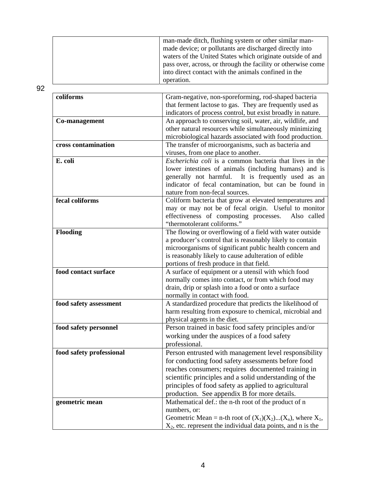|  | man-made ditch, flushing system or other similar man-        |
|--|--------------------------------------------------------------|
|  | made device; or pollutants are discharged directly into      |
|  | waters of the United States which originate outside of and   |
|  | pass over, across, or through the facility or otherwise come |
|  | into direct contact with the animals confined in the         |
|  | operation.                                                   |

| coliforms                | Gram-negative, non-sporeforming, rod-shaped bacteria            |
|--------------------------|-----------------------------------------------------------------|
|                          | that ferment lactose to gas. They are frequently used as        |
|                          | indicators of process control, but exist broadly in nature.     |
| Co-management            | An approach to conserving soil, water, air, wildlife, and       |
|                          | other natural resources while simultaneously minimizing         |
|                          | microbiological hazards associated with food production.        |
| cross contamination      | The transfer of microorganisms, such as bacteria and            |
|                          | viruses, from one place to another.                             |
| E. coli                  | <i>Escherichia coli</i> is a common bacteria that lives in the  |
|                          | lower intestines of animals (including humans) and is           |
|                          | generally not harmful. It is frequently used as an              |
|                          | indicator of fecal contamination, but can be found in           |
|                          | nature from non-fecal sources.                                  |
| fecal coliforms          | Coliform bacteria that grow at elevated temperatures and        |
|                          | may or may not be of fecal origin. Useful to monitor            |
|                          | effectiveness of composting processes.<br>Also called           |
|                          | "thermotolerant coliforms."                                     |
| <b>Flooding</b>          | The flowing or overflowing of a field with water outside        |
|                          | a producer's control that is reasonably likely to contain       |
|                          | microorganisms of significant public health concern and         |
|                          | is reasonably likely to cause adulteration of edible            |
|                          | portions of fresh produce in that field.                        |
| food contact surface     | A surface of equipment or a utensil with which food             |
|                          | normally comes into contact, or from which food may             |
|                          | drain, drip or splash into a food or onto a surface             |
|                          | normally in contact with food.                                  |
| food safety assessment   | A standardized procedure that predicts the likelihood of        |
|                          | harm resulting from exposure to chemical, microbial and         |
|                          | physical agents in the diet.                                    |
| food safety personnel    | Person trained in basic food safety principles and/or           |
|                          | working under the auspices of a food safety                     |
|                          | professional.                                                   |
| food safety professional | Person entrusted with management level responsibility           |
|                          | for conducting food safety assessments before food              |
|                          | reaches consumers; requires documented training in              |
|                          | scientific principles and a solid understanding of the          |
|                          | principles of food safety as applied to agricultural            |
|                          | production. See appendix B for more details.                    |
| geometric mean           | Mathematical def.: the n-th root of the product of n            |
|                          | numbers, or:                                                    |
|                          | Geometric Mean = n-th root of $(X_1)(X_2)(X_n)$ , where $X_1$ , |
|                          | $X_2$ , etc. represent the individual data points, and n is the |
|                          |                                                                 |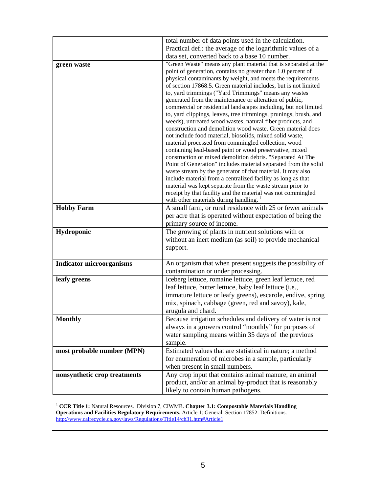|                                 | total number of data points used in the calculation.                                                                                |
|---------------------------------|-------------------------------------------------------------------------------------------------------------------------------------|
|                                 | Practical def.: the average of the logarithmic values of a                                                                          |
|                                 | data set, converted back to a base 10 number.                                                                                       |
| green waste                     | "Green Waste" means any plant material that is separated at the                                                                     |
|                                 | point of generation, contains no greater than 1.0 percent of                                                                        |
|                                 | physical contaminants by weight, and meets the requirements                                                                         |
|                                 | of section 17868.5. Green material includes, but is not limited                                                                     |
|                                 | to, yard trimmings ("Yard Trimmings" means any wastes                                                                               |
|                                 | generated from the maintenance or alteration of public,                                                                             |
|                                 | commercial or residential landscapes including, but not limited<br>to, yard clippings, leaves, tree trimmings, prunings, brush, and |
|                                 | weeds), untreated wood wastes, natural fiber products, and                                                                          |
|                                 | construction and demolition wood waste. Green material does                                                                         |
|                                 | not include food material, biosolids, mixed solid waste,                                                                            |
|                                 | material processed from commingled collection, wood                                                                                 |
|                                 | containing lead-based paint or wood preservative, mixed                                                                             |
|                                 | construction or mixed demolition debris. "Separated At The                                                                          |
|                                 | Point of Generation" includes material separated from the solid                                                                     |
|                                 | waste stream by the generator of that material. It may also<br>include material from a centralized facility as long as that         |
|                                 | material was kept separate from the waste stream prior to                                                                           |
|                                 | receipt by that facility and the material was not commingled                                                                        |
|                                 | with other materials during handling.                                                                                               |
| <b>Hobby Farm</b>               | A small farm, or rural residence with 25 or fewer animals                                                                           |
|                                 | per acre that is operated without expectation of being the                                                                          |
|                                 | primary source of income.                                                                                                           |
| Hydroponic                      | The growing of plants in nutrient solutions with or                                                                                 |
|                                 | without an inert medium (as soil) to provide mechanical                                                                             |
|                                 | support.                                                                                                                            |
|                                 |                                                                                                                                     |
| <b>Indicator microorganisms</b> | An organism that when present suggests the possibility of                                                                           |
|                                 | contamination or under processing.                                                                                                  |
| leafy greens                    | Iceberg lettuce, romaine lettuce, green leaf lettuce, red                                                                           |
|                                 | leaf lettuce, butter lettuce, baby leaf lettuce (i.e.,                                                                              |
|                                 | immature lettuce or leafy greens), escarole, endive, spring                                                                         |
|                                 | mix, spinach, cabbage (green, red and savoy), kale,                                                                                 |
|                                 | arugula and chard.                                                                                                                  |
| <b>Monthly</b>                  | Because irrigation schedules and delivery of water is not                                                                           |
|                                 | always in a growers control "monthly" for purposes of                                                                               |
|                                 | water sampling means within 35 days of the previous                                                                                 |
|                                 | sample.                                                                                                                             |
| most probable number (MPN)      | Estimated values that are statistical in nature; a method                                                                           |
|                                 | for enumeration of microbes in a sample, particularly                                                                               |
|                                 | when present in small numbers.                                                                                                      |
| nonsynthetic crop treatments    | Any crop input that contains animal manure, an animal<br>product, and/or an animal by-product that is reasonably                    |
|                                 |                                                                                                                                     |
|                                 | likely to contain human pathogens.                                                                                                  |

<sup>1</sup> CCR Title 1: Natural Resources. Division 7, CIWMB. Chapter 3.1: Compostable Materials Handling **Operations and Facilities Regulatory Requirements.** Article 1: General. Section 17852: Definitions. http://www.calrecycle.ca.gov/laws/Regulations/Title14/ch31.htm#Article1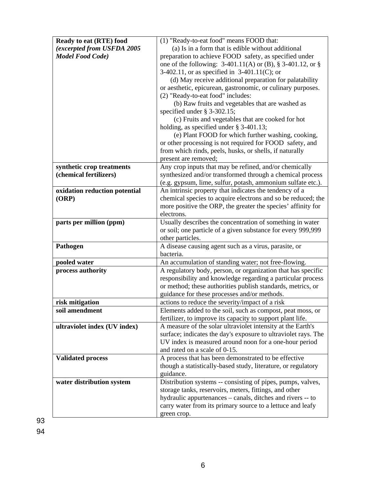| Ready to eat (RTE) food       | (1) "Ready-to-eat food" means FOOD that:                        |
|-------------------------------|-----------------------------------------------------------------|
| (excerpted from USFDA 2005    | (a) Is in a form that is edible without additional              |
| <b>Model Food Code</b> )      | preparation to achieve FOOD safety, as specified under          |
|                               | one of the following: $3-401.11(A)$ or (B), § $3-401.12$ , or § |
|                               | 3-402.11, or as specified in $3-401.11(C)$ ; or                 |
|                               | (d) May receive additional preparation for palatability         |
|                               | or aesthetic, epicurean, gastronomic, or culinary purposes.     |
|                               | (2) "Ready-to-eat food" includes:                               |
|                               | (b) Raw fruits and vegetables that are washed as                |
|                               | specified under $\S$ 3-302.15;                                  |
|                               | (c) Fruits and vegetables that are cooked for hot               |
|                               | holding, as specified under $\S$ 3-401.13;                      |
|                               | (e) Plant FOOD for which further washing, cooking,              |
|                               | or other processing is not required for FOOD safety, and        |
|                               | from which rinds, peels, husks, or shells, if naturally         |
|                               | present are removed;                                            |
| synthetic crop treatments     | Any crop inputs that may be refined, and/or chemically          |
| (chemical fertilizers)        | synthesized and/or transformed through a chemical process       |
|                               | (e.g. gypsum, lime, sulfur, potash, ammonium sulfate etc.).     |
| oxidation reduction potential | An intrinsic property that indicates the tendency of a          |
| (ORP)                         | chemical species to acquire electrons and so be reduced; the    |
|                               | more positive the ORP, the greater the species' affinity for    |
|                               | electrons.                                                      |
| parts per million (ppm)       | Usually describes the concentration of something in water       |
|                               | or soil; one particle of a given substance for every 999,999    |
|                               | other particles.                                                |
| Pathogen                      | A disease causing agent such as a virus, parasite, or           |
|                               | bacteria.                                                       |
| pooled water                  | An accumulation of standing water; not free-flowing.            |
| process authority             | A regulatory body, person, or organization that has specific    |
|                               | responsibility and knowledge regarding a particular process     |
|                               | or method; these authorities publish standards, metrics, or     |
|                               | guidance for these processes and/or methods.                    |
| risk mitigation               | actions to reduce the severity/impact of a risk                 |
| soil amendment                | Elements added to the soil, such as compost, peat moss, or      |
|                               | fertilizer, to improve its capacity to support plant life.      |
| ultraviolet index (UV index)  | A measure of the solar ultraviolet intensity at the Earth's     |
|                               | surface; indicates the day's exposure to ultraviolet rays. The  |
|                               | UV index is measured around noon for a one-hour period          |
|                               | and rated on a scale of 0-15.                                   |
| <b>Validated process</b>      | A process that has been demonstrated to be effective            |
|                               | though a statistically-based study, literature, or regulatory   |
|                               | guidance.                                                       |
| water distribution system     | Distribution systems -- consisting of pipes, pumps, valves,     |
|                               | storage tanks, reservoirs, meters, fittings, and other          |
|                               | hydraulic appurtenances – canals, ditches and rivers -- to      |
|                               | carry water from its primary source to a lettuce and leafy      |
|                               | green crop.                                                     |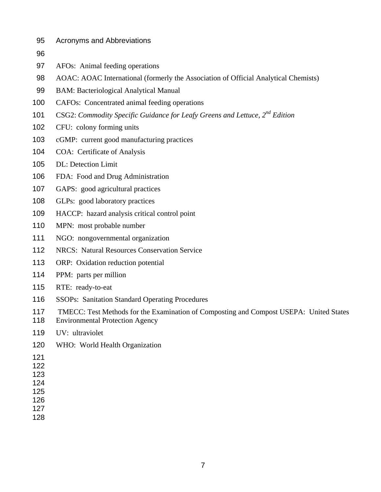- 95 Acronyms and Abbreviations
- 
- AFOs: Animal feeding operations
- AOAC: AOAC International (formerly the Association of Official Analytical Chemists)
- BAM: Bacteriological Analytical Manual
- CAFOs: Concentrated animal feeding operations
- 101 CSG2: *Commodity Specific Guidance for Leafy Greens and Lettuce, 2<sup>nd</sup> Edition*
- CFU: colony forming units
- cGMP: current good manufacturing practices
- COA: Certificate of Analysis
- DL: Detection Limit
- FDA: Food and Drug Administration
- GAPS: good agricultural practices
- GLPs: good laboratory practices
- HACCP: hazard analysis critical control point
- MPN: most probable number
- NGO: nongovernmental organization
- NRCS: Natural Resources Conservation Service
- ORP: Oxidation reduction potential
- PPM: parts per million
- RTE: ready-to-eat
- SSOPs: Sanitation Standard Operating Procedures
- TMECC: Test Methods for the Examination of Composting and Compost USEPA: United States
- Environmental Protection Agency
- UV: ultraviolet
- WHO: World Health Organization
- 

- 
- 
- 
- 
-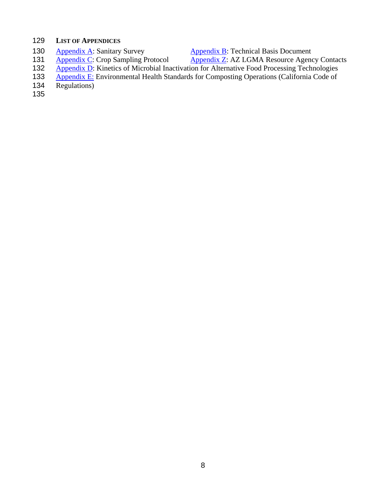# 129 **LIST OF APPENDICES**

- 
- 
- 130 Appendix A: Sanitary Survey<br>
131 Appendix C: Crop Sampling Protocol Appendix Z: AZ LGMA Resource Agendix 2. Appendix Z: AZ LGMA Resource Agency Contacts
	- 132 Appendix D: Kinetics of Microbial Inactivation for Alternative Food Processing Technologies<br>133 Appendix E: Environmental Health Standards for Composting Operations (California Code of
	- 133 Appendix E: Environmental Health Standards for Composting Operations (California Code of 134 Regulations)
	- Regulations)
	- 135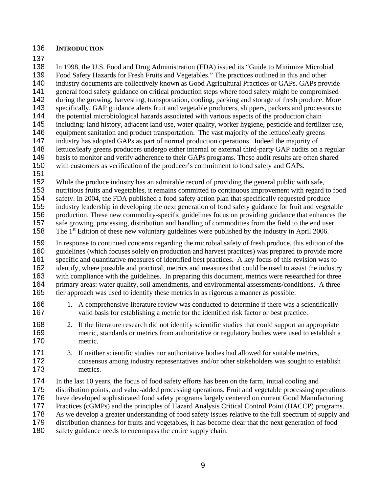### **INTRODUCTION**

In 1998, the U.S. Food and Drug Administration (FDA) issued its "Guide to Minimize Microbial

Food Safety Hazards for Fresh Fruits and Vegetables." The practices outlined in this and other

140 industry documents are collectively known as Good Agricultural Practices or GAPs. GAPs provide general food safety guidance on critical production steps where food safety might be compromised

142 during the growing, harvesting, transportation, cooling, packing and storage of fresh produce. More

specifically, GAP guidance alerts fruit and vegetable producers, shippers, packers and processors to

144 the potential microbiological hazards associated with various aspects of the production chain

including: land history, adjacent land use, water quality, worker hygiene, pesticide and fertilizer use,

146 equipment sanitation and product transportation. The vast majority of the lettuce/leafy greens<br>147 industry has adopted GAPs as part of normal production operations. Indeed the majority of industry has adopted GAPs as part of normal production operations. Indeed the majority of

148 lettuce/leafy greens producers undergo either internal or external third-party GAP audits on a regular

- basis to monitor and verify adherence to their GAPs programs. These audit results are often shared
- with customers as verification of the producer's commitment to food safety and GAPs.
- 

While the produce industry has an admirable record of providing the general public with safe,

nutritious fruits and vegetables, it remains committed to continuous improvement with regard to food safety. In 2004, the FDA published a food safety action plan that specifically requested produce

industry leadership in developing the next generation of food safety guidance for fruit and vegetable

156 production. These new commodity-specific guidelines focus on providing guidance that enhances the safe growing, processing, distribution and handling of commodities from the field to the end user. safe growing, processing, distribution and handling of commodities from the field to the end user.

158 The 1<sup>st</sup> Edition of these new voluntary guidelines were published by the industry in April 2006.

In response to continued concerns regarding the microbial safety of fresh produce, this edition of the guidelines (which focuses solely on production and harvest practices) was prepared to provide more specific and quantitative measures of identified best practices. A key focus of this revision was to identify, where possible and practical, metrics and measures that could be used to assist the industry with compliance with the guidelines. In preparing this document, metrics were researched for three primary areas: water quality, soil amendments, and environmental assessments/conditions. A three-tier approach was used to identify these metrics in as rigorous a manner as possible:

- 166 1. A comprehensive literature review was conducted to determine if there was a scientifically valid basis for establishing a metric for the identified risk factor or best practice.
- 168 2. If the literature research did not identify scientific studies that could support an appropriate metric, standards or metrics from authoritative or regulatory bodies were used to establish a metric.
- 3. If neither scientific studies nor authoritative bodies had allowed for suitable metrics, consensus among industry representatives and/or other stakeholders was sought to establish metrics.
- In the last 10 years, the focus of food safety efforts has been on the farm, initial cooling and
- distribution points, and value-added processing operations. Fruit and vegetable processing operations
- have developed sophisticated food safety programs largely centered on current Good Manufacturing
- Practices (cGMPs) and the principles of Hazard Analysis Critical Control Point (HACCP) programs.
- As we develop a greater understanding of food safety issues relative to the full spectrum of supply and

distribution channels for fruits and vegetables, it has become clear that the next generation of food

safety guidance needs to encompass the entire supply chain.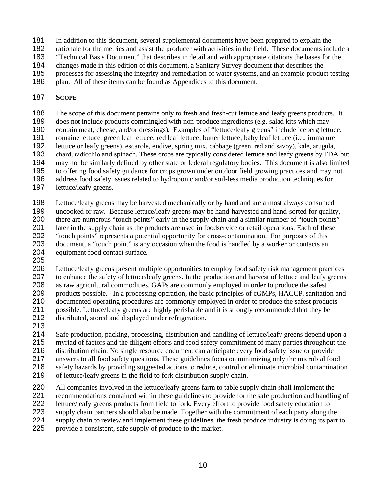- In addition to this document, several supplemental documents have been prepared to explain the
- rationale for the metrics and assist the producer with activities in the field. These documents include a
- "Technical Basis Document" that describes in detail and with appropriate citations the bases for the
- changes made in this edition of this document, a Sanitary Survey document that describes the
- processes for assessing the integrity and remediation of water systems, and an example product testing
- 186 plan. All of these items can be found as Appendices to this document.

# **SCOPE**

The scope of this document pertains only to fresh and fresh-cut lettuce and leafy greens products. It does not include products commingled with non-produce ingredients (e.g. salad kits which may contain meat, cheese, and/or dressings). Examples of "lettuce/leafy greens" include iceberg lettuce, romaine lettuce, green leaf lettuce, red leaf lettuce, butter lettuce, baby leaf lettuce (i.e., immature lettuce or leafy greens), escarole, endive, spring mix, cabbage (green, red and savoy), kale, arugula, chard, radicchio and spinach. These crops are typically considered lettuce and leafy greens by FDA but may not be similarly defined by other state or federal regulatory bodies. This document is also limited to offering food safety guidance for crops grown under outdoor field growing practices and may not address food safety issues related to hydroponic and/or soil-less media production techniques for lettuce/leafy greens.

Lettuce/leafy greens may be harvested mechanically or by hand and are almost always consumed uncooked or raw. Because lettuce/leafy greens may be hand-harvested and hand-sorted for quality, there are numerous "touch points" early in the supply chain and a similar number of "touch points" later in the supply chain as the products are used in foodservice or retail operations. Each of these "touch points" represents a potential opportunity for cross-contamination. For purposes of this document, a "touch point" is any occasion when the food is handled by a worker or contacts an equipment food contact surface.

Lettuce/leafy greens present multiple opportunities to employ food safety risk management practices 207 to enhance the safety of lettuce/leafy greens. In the production and harvest of lettuce and leafy greens as raw agricultural commodities, GAPs are commonly employed in order to produce the safest products possible. In a processing operation, the basic principles of cGMPs, HACCP, sanitation and documented operating procedures are commonly employed in order to produce the safest products possible. Lettuce/leafy greens are highly perishable and it is strongly recommended that they be distributed, stored and displayed under refrigeration.

Safe production, packing, processing, distribution and handling of lettuce/leafy greens depend upon a myriad of factors and the diligent efforts and food safety commitment of many parties throughout the distribution chain. No single resource document can anticipate every food safety issue or provide answers to all food safety questions. These guidelines focus on minimizing only the microbial food safety hazards by providing suggested actions to reduce, control or eliminate microbial contamination of lettuce/leafy greens in the field to fork distribution supply chain.

All companies involved in the lettuce/leafy greens farm to table supply chain shall implement the recommendations contained within these guidelines to provide for the safe production and handling of lettuce/leafy greens products from field to fork. Every effort to provide food safety education to supply chain partners should also be made. Together with the commitment of each party along the 224 supply chain to review and implement these guidelines, the fresh produce industry is doing its part to provide a consistent, safe supply of produce to the market.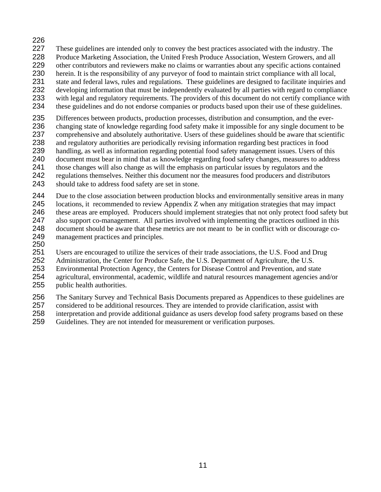- 226<br>227 These guidelines are intended only to convey the best practices associated with the industry. The Produce Marketing Association, the United Fresh Produce Association, Western Growers, and all other contributors and reviewers make no claims or warranties about any specific actions contained herein. It is the responsibility of any purveyor of food to maintain strict compliance with all local, 231 state and federal laws, rules and regulations. These guidelines are designed to facilitate inquiries and developing information that must be independently evaluated by all parties with regard to compliance
- with legal and regulatory requirements. The providers of this document do not certify compliance with these guidelines and do not endorse companies or products based upon their use of these guidelines.
- Differences between products, production processes, distribution and consumption, and the ever-changing state of knowledge regarding food safety make it impossible for any single document to be comprehensive and absolutely authoritative. Users of these guidelines should be aware that scientific and regulatory authorities are periodically revising information regarding best practices in food handling, as well as information regarding potential food safety management issues. Users of this document must bear in mind that as knowledge regarding food safety changes, measures to address those changes will also change as will the emphasis on particular issues by regulators and the regulations themselves. Neither this document nor the measures food producers and distributors should take to address food safety are set in stone.
- Due to the close association between production blocks and environmentally sensitive areas in many locations, it recommended to review Appendix Z when any mitigation strategies that may impact these areas are employed. Producers should implement strategies that not only protect food safety but also support co-management. All parties involved with implementing the practices outlined in this document should be aware that these metrics are not meant to be in conflict with or discourage co-management practices and principles.
- 

Users are encouraged to utilize the services of their trade associations, the U.S. Food and Drug

Administration, the Center for Produce Safe, the U.S. Department of Agriculture, the U.S.

Environmental Protection Agency, the Centers for Disease Control and Prevention, and state

- agricultural, environmental, academic, wildlife and natural resources management agencies and/or public health authorities.
- The Sanitary Survey and Technical Basis Documents prepared as Appendices to these guidelines are

considered to be additional resources. They are intended to provide clarification, assist with

- 258 interpretation and provide additional guidance as users develop food safety programs based on these<br>259 Guidelines. They are not intended for measurement or verification purposes.
- Guidelines. They are not intended for measurement or verification purposes.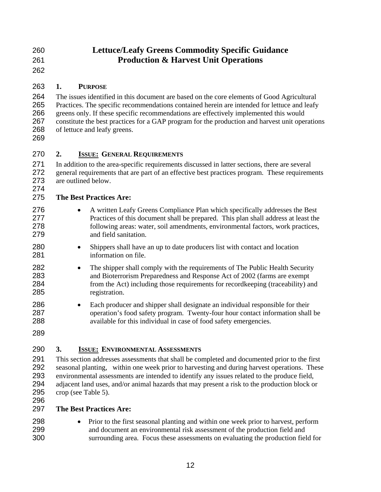| 260 | <b>Lettuce/Leafy Greens Commodity Specific Guidance</b> |
|-----|---------------------------------------------------------|
| 261 | <b>Production &amp; Harvest Unit Operations</b>         |

## **1. PURPOSE**

The issues identified in this document are based on the core elements of Good Agricultural Practices. The specific recommendations contained herein are intended for lettuce and leafy greens only. If these specific recommendations are effectively implemented this would constitute the best practices for a GAP program for the production and harvest unit operations of lettuce and leafy greens.

## **2. ISSUE: GENERAL REQUIREMENTS**

In addition to the area-specific requirements discussed in latter sections, there are several 272 general requirements that are part of an effective best practices program. These requirements 273 are outlined below. are outlined below.

## **The Best Practices Are:**

- 276 A written Leafy Greens Compliance Plan which specifically addresses the Best Practices of this document shall be prepared. This plan shall address at least the following areas: water, soil amendments, environmental factors, work practices, and field sanitation.
- Shippers shall have an up to date producers list with contact and location information on file.
- 282 The shipper shall comply with the requirements of The Public Health Security and Bioterrorism Preparedness and Response Act of 2002 (farms are exempt from the Act) including those requirements for recordkeeping (traceability) and registration.
- Each producer and shipper shall designate an individual responsible for their operation's food safety program. Twenty-four hour contact information shall be available for this individual in case of food safety emergencies.
- 

# **3. ISSUE: ENVIRONMENTAL ASSESSMENTS**

This section addresses assessments that shall be completed and documented prior to the first seasonal planting, within one week prior to harvesting and during harvest operations. These environmental assessments are intended to identify any issues related to the produce field, adjacent land uses, and/or animal hazards that may present a risk to the production block or crop (see Table 5).

### **The Best Practices Are:**

• Prior to the first seasonal planting and within one week prior to harvest, perform and document an environmental risk assessment of the production field and surrounding area. Focus these assessments on evaluating the production field for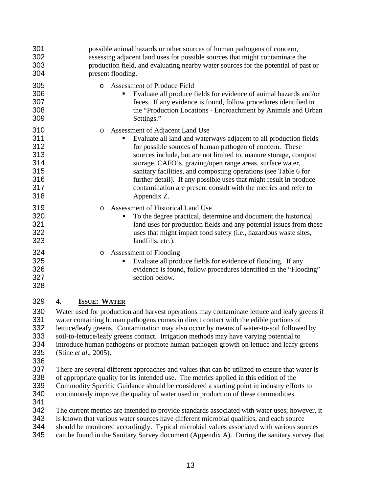| 301<br>302<br>303<br>304                                    |    | possible animal hazards or other sources of human pathogens of concern,<br>assessing adjacent land uses for possible sources that might contaminate the<br>production field, and evaluating nearby water sources for the potential of past or<br>present flooding.                                                                                                                                                                                                                                                                      |
|-------------------------------------------------------------|----|-----------------------------------------------------------------------------------------------------------------------------------------------------------------------------------------------------------------------------------------------------------------------------------------------------------------------------------------------------------------------------------------------------------------------------------------------------------------------------------------------------------------------------------------|
| 305<br>306<br>307<br>308<br>309                             |    | <b>Assessment of Produce Field</b><br>$\circ$<br>Evaluate all produce fields for evidence of animal hazards and/or<br>п<br>feces. If any evidence is found, follow procedures identified in<br>the "Production Locations - Encroachment by Animals and Urban<br>Settings."                                                                                                                                                                                                                                                              |
| 310<br>311<br>312<br>313<br>314<br>315<br>316<br>317<br>318 |    | Assessment of Adjacent Land Use<br>$\circ$<br>Evaluate all land and waterways adjacent to all production fields<br>for possible sources of human pathogen of concern. These<br>sources include, but are not limited to, manure storage, compost<br>storage, CAFO's, grazing/open range areas, surface water,<br>sanitary facilities, and composting operations (see Table 6 for<br>further detail). If any possible uses that might result in produce<br>contamination are present consult with the metrics and refer to<br>Appendix Z. |
| 319<br>320<br>321<br>322<br>323                             |    | Assessment of Historical Land Use<br>$\circ$<br>To the degree practical, determine and document the historical<br>land uses for production fields and any potential issues from these<br>uses that might impact food safety (i.e., hazardous waste sites,<br>landfills, etc.).                                                                                                                                                                                                                                                          |
| 324<br>325<br>326<br>327<br>328                             |    | Assessment of Flooding<br>$\circ$<br>Evaluate all produce fields for evidence of flooding. If any<br>Е<br>evidence is found, follow procedures identified in the "Flooding"<br>section below.                                                                                                                                                                                                                                                                                                                                           |
| 329                                                         | 4. | <b>ISSUE: WATER</b>                                                                                                                                                                                                                                                                                                                                                                                                                                                                                                                     |

Water used for production and harvest operations may contaminate lettuce and leafy greens if water containing human pathogens comes in direct contact with the edible portions of lettuce/leafy greens. Contamination may also occur by means of water-to-soil followed by soil-to-lettuce/leafy greens contact. Irrigation methods may have varying potential to introduce human pathogens or promote human pathogen growth on lettuce and leafy greens (Stine *et al*., 2005).

There are several different approaches and values that can be utilized to ensure that water is of appropriate quality for its intended use. The metrics applied in this edition of the Commodity Specific Guidance should be considered a starting point in industry efforts to continuously improve the quality of water used in production of these commodities.

The current metrics are intended to provide standards associated with water uses; however, it

is known that various water sources have different microbial qualities, and each source

- should be monitored accordingly. Typical microbial values associated with various sources
- can be found in the Sanitary Survey document (Appendix A). During the sanitary survey that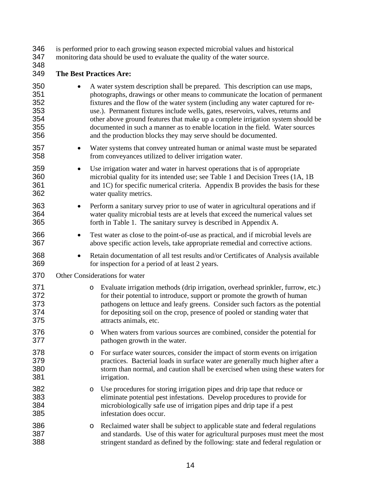is performed prior to each growing season expected microbial values and historical

monitoring data should be used to evaluate the quality of the water source.

### **The Best Practices Are:**

- A water system description shall be prepared. This description can use maps, photographs, drawings or other means to communicate the location of permanent fixtures and the flow of the water system (including any water captured for re-use.). Permanent fixtures include wells, gates, reservoirs, valves, returns and other above ground features that make up a complete irrigation system should be documented in such a manner as to enable location in the field. Water sources and the production blocks they may serve should be documented. 357 • Water systems that convey untreated human or animal waste must be separated from conveyances utilized to deliver irrigation water. • Use irrigation water and water in harvest operations that is of appropriate microbial quality for its intended use; see Table 1 and Decision Trees (1A, 1B and 1C) for specific numerical criteria. Appendix B provides the basis for these water quality metrics. • Perform a sanitary survey prior to use of water in agricultural operations and if water quality microbial tests are at levels that exceed the numerical values set
- forth in Table 1. The sanitary survey is described in Appendix A. • Test water as close to the point-of-use as practical, and if microbial levels are above specific action levels, take appropriate remedial and corrective actions.
- 368 Retain documentation of all test results and/or Certificates of Analysis available for inspection for a period of at least 2 years.
- Other Considerations for water
- 371 o Evaluate irrigation methods (drip irrigation, overhead sprinkler, furrow, etc.)<br>372 for their potential to introduce, support or promote the growth of human for their potential to introduce, support or promote the growth of human pathogens on lettuce and leafy greens. Consider such factors as the potential for depositing soil on the crop, presence of pooled or standing water that attracts animals, etc.
- o When waters from various sources are combined, consider the potential for pathogen growth in the water.
- 378 o For surface water sources, consider the impact of storm events on irrigation<br>379 cractices. Bacterial loads in surface water are generally much higher after a practices. Bacterial loads in surface water are generally much higher after a storm than normal, and caution shall be exercised when using these waters for irrigation.
- 382 o Use procedures for storing irrigation pipes and drip tape that reduce or<br>383 eliminate potential pest infestations. Develop procedures to provide fo eliminate potential pest infestations. Develop procedures to provide for microbiologically safe use of irrigation pipes and drip tape if a pest infestation does occur.
- 386 o Reclaimed water shall be subject to applicable state and federal regulations<br>387 and standards. Use of this water for agricultural purposes must meet the mo and standards. Use of this water for agricultural purposes must meet the most stringent standard as defined by the following: state and federal regulation or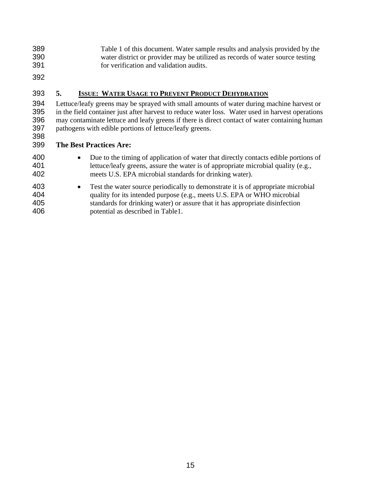Table 1 of this document. Water sample results and analysis provided by the water district or provider may be utilized as records of water source testing for verification and validation audits.

### **5. ISSUE: WATER USAGE TO PREVENT PRODUCT DEHYDRATION**

Lettuce/leafy greens may be sprayed with small amounts of water during machine harvest or in the field container just after harvest to reduce water loss. Water used in harvest operations may contaminate lettuce and leafy greens if there is direct contact of water containing human pathogens with edible portions of lettuce/leafy greens. 

### **The Best Practices Are:**

- 400 Due to the timing of application of water that directly contacts edible portions of lettuce/leafy greens, assure the water is of appropriate microbial quality (e.g., meets U.S. EPA microbial standards for drinking water).
- Test the water source periodically to demonstrate it is of appropriate microbial quality for its intended purpose (e.g., meets U.S. EPA or WHO microbial standards for drinking water) or assure that it has appropriate disinfection potential as described in Table1.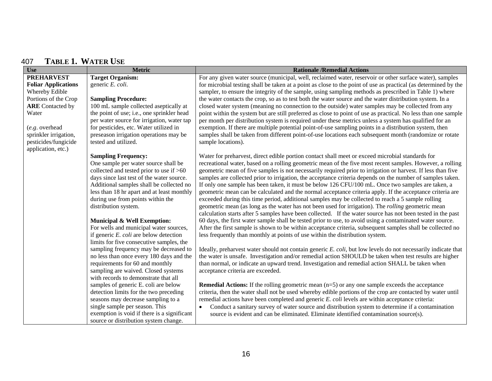### 407 **TABLE 1. WATER USE**

| <b>Use</b>                 | <b>Metric</b>                               | <b>Rationale /Remedial Actions</b>                                                                              |
|----------------------------|---------------------------------------------|-----------------------------------------------------------------------------------------------------------------|
| <b>PREHARVEST</b>          | <b>Target Organism:</b>                     | For any given water source (municipal, well, reclaimed water, reservoir or other surface water), samples        |
| <b>Foliar Applications</b> | generic E. coli.                            | for microbial testing shall be taken at a point as close to the point of use as practical (as determined by the |
| Whereby Edible             |                                             | sampler, to ensure the integrity of the sample, using sampling methods as prescribed in Table 1) where          |
| Portions of the Crop       | <b>Sampling Procedure:</b>                  | the water contacts the crop, so as to test both the water source and the water distribution system. In a        |
| <b>ARE</b> Contacted by    | 100 mL sample collected aseptically at      | closed water system (meaning no connection to the outside) water samples may be collected from any              |
| Water                      | the point of use; i.e., one sprinkler head  | point within the system but are still preferred as close to point of use as practical. No less than one sample  |
|                            | per water source for irrigation, water tap  | per month per distribution system is required under these metrics unless a system has qualified for an          |
| (e.g. overhead             | for pesticides, etc. Water utilized in      | exemption. If there are multiple potential point-of-use sampling points in a distribution system, then          |
| sprinkler irrigation,      | preseason irrigation operations may be      | samples shall be taken from different point-of-use locations each subsequent month (randomize or rotate         |
| pesticides/fungicide       | tested and utilized.                        | sample locations).                                                                                              |
| application, etc.)         |                                             |                                                                                                                 |
|                            | <b>Sampling Frequency:</b>                  | Water for preharvest, direct edible portion contact shall meet or exceed microbial standards for                |
|                            | One sample per water source shall be        | recreational water, based on a rolling geometric mean of the five most recent samples. However, a rolling       |
|                            | collected and tested prior to use if >60    | geometric mean of five samples is not necessarily required prior to irrigation or harvest. If less than five    |
|                            | days since last test of the water source.   | samples are collected prior to irrigation, the acceptance criteria depends on the number of samples taken.      |
|                            | Additional samples shall be collected no    | If only one sample has been taken, it must be below 126 CFU/100 mL. Once two samples are taken, a               |
|                            | less than 18 hr apart and at least monthly  | geometric mean can be calculated and the normal acceptance criteria apply. If the acceptance criteria are       |
|                            | during use from points within the           | exceeded during this time period, additional samples may be collected to reach a 5 sample rolling               |
|                            | distribution system.                        | geometric mean (as long as the water has not been used for irrigation). The rolling geometric mean              |
|                            |                                             | calculation starts after 5 samples have been collected. If the water source has not been tested in the past     |
|                            | <b>Municipal &amp; Well Exemption:</b>      | 60 days, the first water sample shall be tested prior to use, to avoid using a contaminated water source.       |
|                            | For wells and municipal water sources,      | After the first sample is shown to be within acceptance criteria, subsequent samples shall be collected no      |
|                            | if generic $E.$ coli are below detection    | less frequently than monthly at points of use within the distribution system.                                   |
|                            | limits for five consecutive samples, the    |                                                                                                                 |
|                            | sampling frequency may be decreased to      | Ideally, preharvest water should not contain generic E. coli, but low levels do not necessarily indicate that   |
|                            | no less than once every 180 days and the    | the water is unsafe. Investigation and/or remedial action SHOULD be taken when test results are higher          |
|                            | requirements for 60 and monthly             | than normal, or indicate an upward trend. Investigation and remedial action SHALL be taken when                 |
|                            | sampling are waived. Closed systems         | acceptance criteria are exceeded.                                                                               |
|                            | with records to demonstrate that all        |                                                                                                                 |
|                            | samples of generic E. coli are below        | <b>Remedial Actions:</b> If the rolling geometric mean $(n=5)$ or any one sample exceeds the acceptance         |
|                            | detection limits for the two preceding      | criteria, then the water shall not be used whereby edible portions of the crop are contacted by water until     |
|                            | seasons may decrease sampling to a          | remedial actions have been completed and generic E. coli levels are within acceptance criteria:                 |
|                            | single sample per season. This              | Conduct a sanitary survey of water source and distribution system to determine if a contamination               |
|                            | exemption is void if there is a significant | source is evident and can be eliminated. Eliminate identified contamination source(s).                          |
|                            | source or distribution system change.       |                                                                                                                 |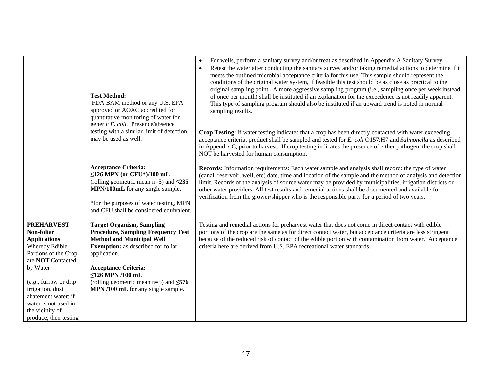|                                                                                                                                                                                                                                                                             | <b>Test Method:</b><br>FDA BAM method or any U.S. EPA<br>approved or AOAC accredited for<br>quantitative monitoring of water for<br>generic E. coli. Presence/absence<br>testing with a similar limit of detection<br>may be used as well.<br><b>Acceptance Criteria:</b><br>$\leq$ 126 MPN (or CFU*)/100 mL<br>(rolling geometric mean $n=5$ ) and $\leq 235$<br>MPN/100mL for any single sample.<br>*for the purposes of water testing, MPN<br>and CFU shall be considered equivalent. | For wells, perform a sanitary survey and/or treat as described in Appendix A Sanitary Survey.<br>$\bullet$<br>Retest the water after conducting the sanitary survey and/or taking remedial actions to determine if it<br>$\bullet$<br>meets the outlined microbial acceptance criteria for this use. This sample should represent the<br>conditions of the original water system, if feasible this test should be as close as practical to the<br>original sampling point A more aggressive sampling program (i.e., sampling once per week instead<br>of once per month) shall be instituted if an explanation for the exceedence is not readily apparent.<br>This type of sampling program should also be instituted if an upward trend is noted in normal<br>sampling results.<br>Crop Testing: If water testing indicates that a crop has been directly contacted with water exceeding<br>acceptance criteria, product shall be sampled and tested for E. coli O157:H7 and Salmonella as described<br>in Appendix C, prior to harvest. If crop testing indicates the presence of either pathogen, the crop shall<br>NOT be harvested for human consumption.<br>Records: Information requirements: Each water sample and analysis shall record: the type of water<br>(canal, reservoir, well, etc) date, time and location of the sample and the method of analysis and detection<br>limit. Records of the analysis of source water may be provided by municipalities, irrigation districts or<br>other water providers. All test results and remedial actions shall be documented and available for<br>verification from the grower/shipper who is the responsible party for a period of two years. |
|-----------------------------------------------------------------------------------------------------------------------------------------------------------------------------------------------------------------------------------------------------------------------------|------------------------------------------------------------------------------------------------------------------------------------------------------------------------------------------------------------------------------------------------------------------------------------------------------------------------------------------------------------------------------------------------------------------------------------------------------------------------------------------|--------------------------------------------------------------------------------------------------------------------------------------------------------------------------------------------------------------------------------------------------------------------------------------------------------------------------------------------------------------------------------------------------------------------------------------------------------------------------------------------------------------------------------------------------------------------------------------------------------------------------------------------------------------------------------------------------------------------------------------------------------------------------------------------------------------------------------------------------------------------------------------------------------------------------------------------------------------------------------------------------------------------------------------------------------------------------------------------------------------------------------------------------------------------------------------------------------------------------------------------------------------------------------------------------------------------------------------------------------------------------------------------------------------------------------------------------------------------------------------------------------------------------------------------------------------------------------------------------------------------------------------------------------------------------------------------------------|
| <b>PREHARVEST</b><br>Non-foliar<br><b>Applications</b><br>Whereby Edible<br>Portions of the Crop<br>are NOT Contacted<br>by Water<br>$(e.g.,$ furrow or drip<br>irrigation, dust<br>abatement water; if<br>water is not used in<br>the vicinity of<br>produce, then testing | <b>Target Organism, Sampling</b><br><b>Procedure, Sampling Frequency Test</b><br><b>Method and Municipal Well</b><br><b>Exemption:</b> as described for foliar<br>application.<br><b>Acceptance Criteria:</b><br>$\leq$ 126 MPN /100 mL<br>(rolling geometric mean $n=5$ ) and $\leq 576$<br>MPN /100 mL for any single sample.                                                                                                                                                          | Testing and remedial actions for preharvest water that does not come in direct contact with edible<br>portions of the crop are the same as for direct contact water, but acceptance criteria are less stringent<br>because of the reduced risk of contact of the edible portion with contamination from water. Acceptance<br>criteria here are derived from U.S. EPA recreational water standards.                                                                                                                                                                                                                                                                                                                                                                                                                                                                                                                                                                                                                                                                                                                                                                                                                                                                                                                                                                                                                                                                                                                                                                                                                                                                                                     |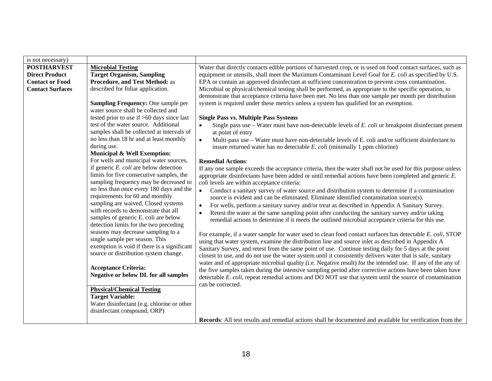| is not necessary)       |                                                  |                                                                                                                        |
|-------------------------|--------------------------------------------------|------------------------------------------------------------------------------------------------------------------------|
| <b>POSTHARVEST</b>      | <b>Microbial Testing</b>                         | Water that directly contacts edible portions of harvested crop, or is used on food contact surfaces, such as           |
| <b>Direct Product</b>   | <b>Target Organism, Sampling</b>                 | equipment or utensils, shall meet the Maximum Contaminant Level Goal for E. coli as specified by U.S.                  |
| <b>Contact or Food</b>  | <b>Procedure, and Test Method: as</b>            | EPA or contain an approved disinfectant at sufficient concentration to prevent cross contamination.                    |
| <b>Contact Surfaces</b> | described for foliar application.                | Microbial or physical/chemical testing shall be performed, as appropriate to the specific operation, to                |
|                         |                                                  | demonstrate that acceptance criteria have been met. No less than one sample per month per distribution                 |
|                         | <b>Sampling Frequency: One sample per</b>        | system is required under these metrics unless a system has qualified for an exemption.                                 |
|                         | water source shall be collected and              |                                                                                                                        |
|                         | tested prior to use if >60 days since last       | <b>Single Pass vs. Multiple Pass Systems</b>                                                                           |
|                         | test of the water source. Additional             | Single pass use $-$ Water must have non-detectable levels of $E.$ coli or breakpoint disinfectant present<br>$\bullet$ |
|                         | samples shall be collected at intervals of       | at point of entry                                                                                                      |
|                         | no less than 18 hr and at least monthly          | $\bullet$<br>Multi-pass use – Water must have non-detectable levels of E. coli and/or sufficient disinfectant to       |
|                         | during use.                                      | insure returned water has no detectable $E.$ coli (minimally 1 ppm chlorine)                                           |
|                         | <b>Municipal &amp; Well Exemption:</b>           |                                                                                                                        |
|                         | For wells and municipal water sources,           | <b>Remedial Actions:</b>                                                                                               |
|                         | if generic $E$ . <i>coli</i> are below detection | If any one sample exceeds the acceptance criteria, then the water shall not be used for this purpose unless            |
|                         | limits for five consecutive samples, the         | appropriate disinfectants have been added or until remedial actions have been completed and generic $E$ .              |
|                         | sampling frequency may be decreased to           | coli levels are within acceptance criteria:                                                                            |
|                         | no less than once every 180 days and the         | $\bullet$<br>Conduct a sanitary survey of water source and distribution system to determine if a contamination         |
|                         | requirements for 60 and monthly                  | source is evident and can be eliminated. Eliminate identified contamination source(s).                                 |
|                         | sampling are waived. Closed systems              | For wells, perform a sanitary survey and/or treat as described in Appendix A Sanitary Survey.                          |
|                         | with records to demonstrate that all             | Retest the water at the same sampling point after conducting the sanitary survey and/or taking                         |
|                         | samples of generic E. coli are below             | remedial actions to determine if it meets the outlined microbial acceptance criteria for this use.                     |
|                         | detection limits for the two preceding           |                                                                                                                        |
|                         | seasons may decrease sampling to a               | For example, if a water sample for water used to clean food contact surfaces has detectable E. coli, STOP              |
|                         | single sample per season. This                   | using that water system, examine the distribution line and source inlet as described in Appendix A                     |
|                         | exemption is void if there is a significant      | Sanitary Survey, and retest from the same point of use. Continue testing daily for 5 days at the point                 |
|                         | source or distribution system change.            | closest to use, and do not use the water system until it consistently delivers water that is safe, sanitary            |
|                         |                                                  | water and of appropriate microbial quality (i.e. Negative result) for the intended use. If any of the any of           |
|                         | <b>Acceptance Criteria:</b>                      | the five samples taken during the intensive sampling period after corrective actions have been taken have              |
|                         | <b>Negative or below DL for all samples</b>      | detectable E. coli, repeat remedial actions and DO NOT use that system until the source of contamination               |
|                         |                                                  | can be corrected.                                                                                                      |
|                         | <b>Physical/Chemical Testing</b>                 |                                                                                                                        |
|                         | <b>Target Variable:</b>                          |                                                                                                                        |
|                         | Water disinfectant (e.g. chlorine or other       |                                                                                                                        |
|                         | disinfectant compound, ORP)                      |                                                                                                                        |
|                         |                                                  | Records: All test results and remedial actions shall be documented and available for verification from the             |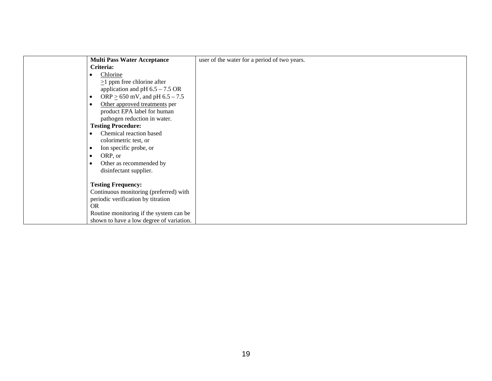| <b>Multi Pass Water Acceptance</b>       | user of the water for a period of two years. |
|------------------------------------------|----------------------------------------------|
| Criteria:                                |                                              |
| Chlorine                                 |                                              |
| $\geq$ 1 ppm free chlorine after         |                                              |
| application and pH $6.5 - 7.5$ OR        |                                              |
| ORP $\geq$ 650 mV, and pH 6.5 – 7.5      |                                              |
| Other approved treatments per            |                                              |
| product EPA label for human              |                                              |
|                                          |                                              |
| pathogen reduction in water.             |                                              |
| <b>Testing Procedure:</b>                |                                              |
| Chemical reaction based                  |                                              |
| colorimetric test, or                    |                                              |
| Ion specific probe, or                   |                                              |
| ORP, or                                  |                                              |
| Other as recommended by                  |                                              |
| disinfectant supplier.                   |                                              |
|                                          |                                              |
| <b>Testing Frequency:</b>                |                                              |
| Continuous monitoring (preferred) with   |                                              |
| periodic verification by titration       |                                              |
| <b>OR</b>                                |                                              |
| Routine monitoring if the system can be  |                                              |
| shown to have a low degree of variation. |                                              |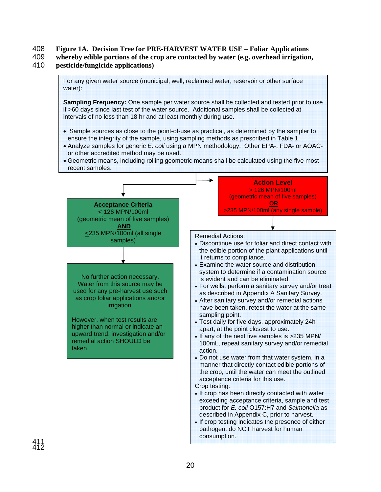# 408 **Figure 1A. Decision Tree for PRE-HARVEST WATER USE – Foliar Applications**

409 **whereby edible portions of the crop are contacted by water (e.g. overhead irrigation,**  410 **pesticide/fungicide applications)**

For any given water source (municipal, well, reclaimed water, reservoir or other surface water): **Sampling Frequency:** One sample per water source shall be collected and tested prior to use if >60 days since last test of the water source. Additional samples shall be collected at intervals of no less than 18 hr and at least monthly during use. • Sample sources as close to the point-of-use as practical, as determined by the sampler to ensure the integrity of the sample, using sampling methods as prescribed in Table 1. • Analyze samples for generic *E. coli* using a MPN methodology. Other EPA-, FDA- or AOACor other accredited method may be used. • Geometric means, including rolling geometric means shall be calculated using the five most recent samples. **Acceptance Criteria** < 126 MPN/100ml (geometric mean of five samples) **AND** <235 MPN/100ml (all single samples) **Action Level**  > 126 MPN/100ml (geometric mean of five samples) **OR** 35 MPN/100ml (any single sample) No further action necessary. Water from this source may be used for any pre-harvest use such as crop foliar applications and/or irrigation. However, when test results are higher than normal or indicate an upward trend, investigation and/or remedial action SHOULD be taken. Remedial Actions: • Discontinue use for foliar and direct contact with the edible portion of the plant applications until it returns to compliance. • Examine the water source and distribution system to determine if a contamination source is evident and can be eliminated. • For wells, perform a sanitary survey and/or treat as described in Appendix A Sanitary Survey. • After sanitary survey and/or remedial actions have been taken, retest the water at the same sampling point. • Test daily for five days, approximately 24h apart, at the point closest to use. • If any of the next five samples is >235 MPN/ 100mL, repeat sanitary survey and/or remedial action. • Do not use water from that water system, in a manner that directly contact edible portions of the crop, until the water can meet the outlined acceptance criteria for this use. Crop testing: • If crop has been directly contacted with water exceeding acceptance criteria, sample and test product for *E. coli* O157:H7 and *Salmonella* as described in Appendix C, prior to harvest.

• If crop testing indicates the presence of either pathogen, do NOT harvest for human consumption.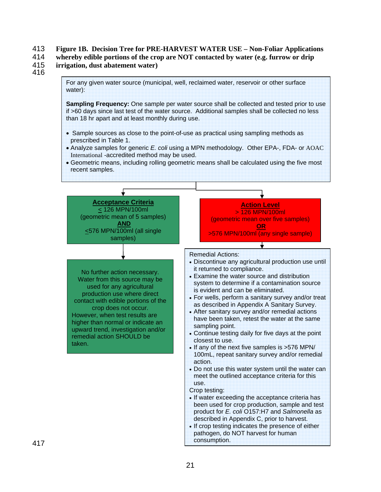### 413 **Figure 1B. Decision Tree for PRE-HARVEST WATER USE – Non-Foliar Applications**

- 414 **whereby edible portions of the crop are NOT contacted by water (e.g. furrow or drip**
- 415 **irrigation, dust abatement water)**
- 416

For any given water source (municipal, well, reclaimed water, reservoir or other surface water):

**Sampling Frequency:** One sample per water source shall be collected and tested prior to use if >60 days since last test of the water source. Additional samples shall be collected no less than 18 hr apart and at least monthly during use.

- Sample sources as close to the point-of-use as practical using sampling methods as prescribed in Table 1.
- Analyze samples for generic *E. coli* using a MPN methodology. Other EPA-, FDA- or AOAC International -accredited method may be used.
- Geometric means, including rolling geometric means shall be calculated using the five most recent samples.

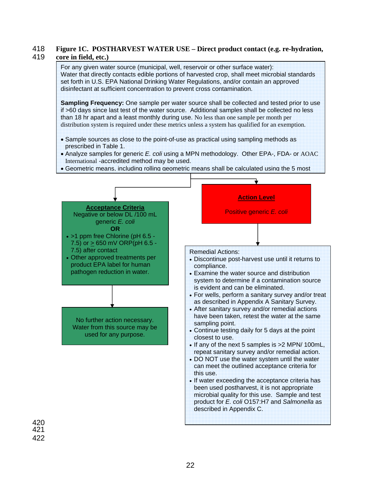### 418 **Figure 1C. POSTHARVEST WATER USE – Direct product contact (e.g. re-hydration,**  419 **core in field, etc.)**

For any given water source (municipal, well, reservoir or other surface water): Water that directly contacts edible portions of harvested crop, shall meet microbial standards set forth in U.S. EPA National Drinking Water Regulations, and/or contain an approved disinfectant at sufficient concentration to prevent cross contamination.

**Sampling Frequency:** One sample per water source shall be collected and tested prior to use if >60 days since last test of the water source. Additional samples shall be collected no less than 18 hr apart and a least monthly during use. No less than one sample per month per distribution system is required under these metrics unless a system has qualified for an exemption.

- Sample sources as close to the point-of-use as practical using sampling methods as prescribed in Table 1.
- Analyze samples for generic *E. coli* using a MPN methodology. Other EPA-, FDA- or AOAC International -accredited method may be used.
- Geometric means, including rolling geometric means shall be calculated using the 5 most



421 422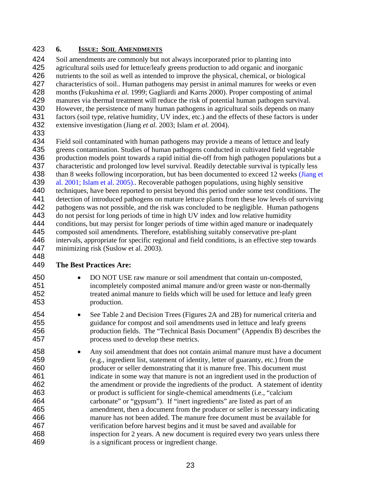# **6. ISSUE: SOIL AMENDMENTS**

Soil amendments are commonly but not always incorporated prior to planting into agricultural soils used for lettuce/leafy greens production to add organic and inorganic nutrients to the soil as well as intended to improve the physical, chemical, or biological characteristics of soil.. Human pathogens may persist in animal manures for weeks or even months (Fukushima *et al.* 1999; Gagliardi and Karns 2000). Proper composting of animal manures via thermal treatment will reduce the risk of potential human pathogen survival. However, the persistence of many human pathogens in agricultural soils depends on many factors (soil type, relative humidity, UV index, etc.) and the effects of these factors is under extensive investigation (Jiang *et al.* 2003; Islam *et al.* 2004).

Field soil contaminated with human pathogens may provide a means of lettuce and leafy greens contamination. Studies of human pathogens conducted in cultivated field vegetable production models point towards a rapid initial die-off from high pathogen populations but a characteristic and prolonged low level survival. Readily detectable survival is typically less 438 than 8 weeks following incorporation, but has been documented to exceed 12 weeks (Jiang et al. 2001; Islam et al. 2005).. Recoverable pathogen populations, using highly sensitive techniques, have been reported to persist beyond this period under some test conditions. The detection of introduced pathogens on mature lettuce plants from these low levels of surviving pathogens was not possible, and the risk was concluded to be negligible. Human pathogens 443 do not persist for long periods of time in high UV index and low relative humidity conditions, but may persist for longer periods of time within aged manure or inadequately composted soil amendments. Therefore, establishing suitably conservative pre-plant intervals, appropriate for specific regional and field conditions, is an effective step towards minimizing risk (Suslow et al. 2003). 

# **The Best Practices Are:**

- DO NOT USE raw manure or soil amendment that contain un-composted, incompletely composted animal manure and/or green waste or non-thermally treated animal manure to fields which will be used for lettuce and leafy green production.
- See Table 2 and Decision Trees (Figures 2A and 2B) for numerical criteria and guidance for compost and soil amendments used in lettuce and leafy greens production fields. The "Technical Basis Document" (Appendix B) describes the process used to develop these metrics.
- Any soil amendment that does not contain animal manure must have a document (e.g., ingredient list, statement of identity, letter of guaranty, etc.) from the producer or seller demonstrating that it is manure free. This document must indicate in some way that manure is not an ingredient used in the production of the amendment or provide the ingredients of the product. A statement of identity or product is sufficient for single-chemical amendments (i.e., "calcium carbonate" or "gypsum"). If "inert ingredients" are listed as part of an amendment, then a document from the producer or seller is necessary indicating manure has not been added. The manure free document must be available for verification before harvest begins and it must be saved and available for inspection for 2 years. A new document is required every two years unless there is a significant process or ingredient change.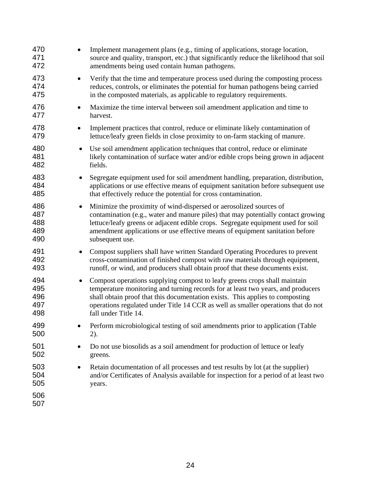| 470<br>471<br>472                            | Implement management plans (e.g., timing of applications, storage location,<br>source and quality, transport, etc.) that significantly reduce the likelihood that soil<br>amendments being used contain human pathogens.                                                                                                                                    |
|----------------------------------------------|-------------------------------------------------------------------------------------------------------------------------------------------------------------------------------------------------------------------------------------------------------------------------------------------------------------------------------------------------------------|
| 473<br>474<br>475                            | Verify that the time and temperature process used during the composting process<br>reduces, controls, or eliminates the potential for human pathogens being carried<br>in the composted materials, as applicable to regulatory requirements.                                                                                                                |
| 476<br>477                                   | Maximize the time interval between soil amendment application and time to<br>harvest.                                                                                                                                                                                                                                                                       |
| 478<br>$\bullet$<br>479                      | Implement practices that control, reduce or eliminate likely contamination of<br>lettuce/leafy green fields in close proximity to on-farm stacking of manure.                                                                                                                                                                                               |
| 480<br>$\bullet$<br>481<br>482               | Use soil amendment application techniques that control, reduce or eliminate<br>likely contamination of surface water and/or edible crops being grown in adjacent<br>fields.                                                                                                                                                                                 |
| 483<br>$\bullet$<br>484<br>485               | Segregate equipment used for soil amendment handling, preparation, distribution,<br>applications or use effective means of equipment sanitation before subsequent use<br>that effectively reduce the potential for cross contamination.                                                                                                                     |
| 486<br>$\bullet$<br>487<br>488<br>489<br>490 | Minimize the proximity of wind-dispersed or aerosolized sources of<br>contamination (e.g., water and manure piles) that may potentially contact growing<br>lettuce/leafy greens or adjacent edible crops. Segregate equipment used for soil<br>amendment applications or use effective means of equipment sanitation before<br>subsequent use.              |
| 491<br>$\bullet$<br>492<br>493               | Compost suppliers shall have written Standard Operating Procedures to prevent<br>cross-contamination of finished compost with raw materials through equipment,<br>runoff, or wind, and producers shall obtain proof that these documents exist.                                                                                                             |
| 494<br>$\bullet$<br>495<br>496<br>497<br>498 | Compost operations supplying compost to leafy greens crops shall maintain<br>temperature monitoring and turning records for at least two years, and producers<br>shall obtain proof that this documentation exists. This applies to composting<br>operations regulated under Title 14 CCR as well as smaller operations that do not<br>fall under Title 14. |
| 499<br>500                                   | Perform microbiological testing of soil amendments prior to application (Table<br>2).                                                                                                                                                                                                                                                                       |
| 501<br>502                                   | Do not use biosolids as a soil amendment for production of lettuce or leafy<br>greens.                                                                                                                                                                                                                                                                      |
| 503<br>504<br>505<br>506                     | Retain documentation of all processes and test results by lot (at the supplier)<br>and/or Certificates of Analysis available for inspection for a period of at least two<br>years.                                                                                                                                                                          |
| 507                                          |                                                                                                                                                                                                                                                                                                                                                             |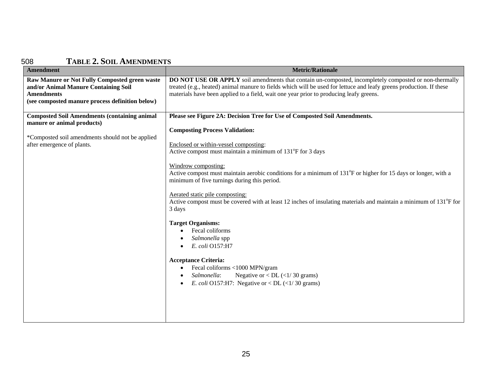### 508 **TABLE 2. SOIL AMENDMENTS**

| <b>Amendment</b>                                                                                                                                                    | <b>Metric/Rationale</b>                                                                                                                                                                                                                                                                                                                                                                                                                                                                                                                                                                                                                           |
|---------------------------------------------------------------------------------------------------------------------------------------------------------------------|---------------------------------------------------------------------------------------------------------------------------------------------------------------------------------------------------------------------------------------------------------------------------------------------------------------------------------------------------------------------------------------------------------------------------------------------------------------------------------------------------------------------------------------------------------------------------------------------------------------------------------------------------|
| Raw Manure or Not Fully Composted green waste<br>and/or Animal Manure Containing Soil<br><b>Amendments</b><br>(see composted manure process definition below)       | DO NOT USE OR APPLY soil amendments that contain un-composted, incompletely composted or non-thermally<br>treated (e.g., heated) animal manure to fields which will be used for lettuce and leafy greens production. If these<br>materials have been applied to a field, wait one year prior to producing leafy greens.                                                                                                                                                                                                                                                                                                                           |
| <b>Composted Soil Amendments (containing animal</b><br>manure or animal products)<br>*Composted soil amendments should not be applied<br>after emergence of plants. | Please see Figure 2A: Decision Tree for Use of Composted Soil Amendments.<br><b>Composting Process Validation:</b><br>Enclosed or within-vessel composting:<br>Active compost must maintain a minimum of 131°F for 3 days<br>Windrow composting:<br>Active compost must maintain aerobic conditions for a minimum of 131 <sup>°</sup> F or higher for 15 days or longer, with a<br>minimum of five turnings during this period.<br>Aerated static pile composting:<br>Active compost must be covered with at least 12 inches of insulating materials and maintain a minimum of 131°F for<br>3 days<br><b>Target Organisms:</b><br>Fecal coliforms |
|                                                                                                                                                                     | Salmonella spp<br>E. coli O157:H7<br><b>Acceptance Criteria:</b><br>Fecal coliforms <1000 MPN/gram<br>Negative or $\langle$ DL ( $\langle$ 1/30 grams)<br>Salmonella:<br>E. coli O157:H7: Negative or < DL $\left(\frac{1}{30}\right)$ grams)                                                                                                                                                                                                                                                                                                                                                                                                     |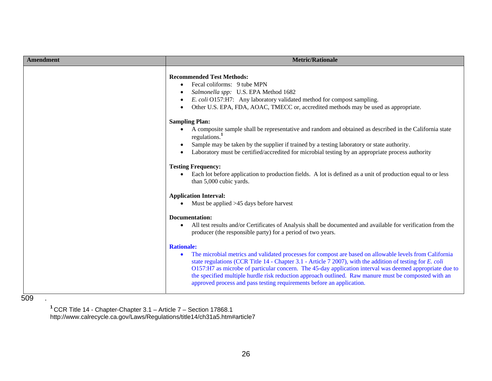| Amendment | <b>Metric/Rationale</b>                                                                                                                                                                                                                                                                                                                                                                                                                                                                                                                                                                     |
|-----------|---------------------------------------------------------------------------------------------------------------------------------------------------------------------------------------------------------------------------------------------------------------------------------------------------------------------------------------------------------------------------------------------------------------------------------------------------------------------------------------------------------------------------------------------------------------------------------------------|
|           | <b>Recommended Test Methods:</b><br>Fecal coliforms: 9 tube MPN<br>$\bullet$<br>Salmonella spp: U.S. EPA Method 1682<br>E. coli O157:H7: Any laboratory validated method for compost sampling.<br>$\bullet$<br>Other U.S. EPA, FDA, AOAC, TMECC or, accredited methods may be used as appropriate.                                                                                                                                                                                                                                                                                          |
|           | <b>Sampling Plan:</b><br>A composite sample shall be representative and random and obtained as described in the California state<br>$\bullet$<br>regulations. <sup>1</sup><br>Sample may be taken by the supplier if trained by a testing laboratory or state authority.<br>$\bullet$<br>Laboratory must be certified/accredited for microbial testing by an appropriate process authority<br>$\bullet$<br><b>Testing Frequency:</b><br>Each lot before application to production fields. A lot is defined as a unit of production equal to or less<br>$\bullet$<br>than 5,000 cubic yards. |
|           | <b>Application Interval:</b><br>Must be applied >45 days before harvest<br>Documentation:<br>All test results and/or Certificates of Analysis shall be documented and available for verification from the<br>$\bullet$<br>producer (the responsible party) for a period of two years.                                                                                                                                                                                                                                                                                                       |
|           | <b>Rationale:</b><br>The microbial metrics and validated processes for compost are based on allowable levels from California<br>$\bullet$<br>state regulations (CCR Title 14 - Chapter 3.1 - Article 7 2007), with the addition of testing for E. coli<br>O157:H7 as microbe of particular concern. The 45-day application interval was deemed appropriate due to<br>the specified multiple hurdle risk reduction approach outlined. Raw manure must be composted with an<br>approved process and pass testing requirements before an application.                                          |

 $\mathcal{L}_{\mathcal{A}}$ 

**<sup>1</sup>**CCR Title 14 - Chapter-Chapter 3.1 – Article 7 – Section 17868.1 http://www.calrecycle.ca.gov/Laws/Regulations/title14/ch31a5.htm#article7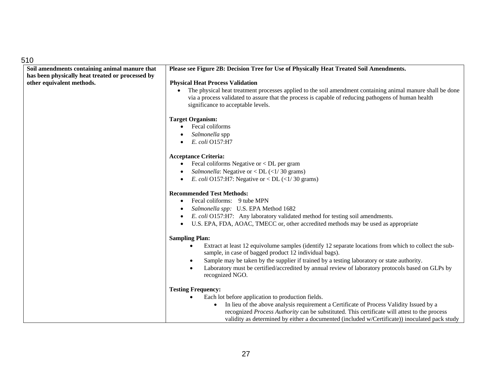| 510                                              |                                                                                                                                                                                                                                                                      |
|--------------------------------------------------|----------------------------------------------------------------------------------------------------------------------------------------------------------------------------------------------------------------------------------------------------------------------|
| Soil amendments containing animal manure that    | Please see Figure 2B: Decision Tree for Use of Physically Heat Treated Soil Amendments.                                                                                                                                                                              |
| has been physically heat treated or processed by |                                                                                                                                                                                                                                                                      |
| other equivalent methods.                        | <b>Physical Heat Process Validation</b>                                                                                                                                                                                                                              |
|                                                  | The physical heat treatment processes applied to the soil amendment containing animal manure shall be done<br>$\bullet$<br>via a process validated to assure that the process is capable of reducing pathogens of human health<br>significance to acceptable levels. |
|                                                  | <b>Target Organism:</b>                                                                                                                                                                                                                                              |
|                                                  | Fecal coliforms                                                                                                                                                                                                                                                      |
|                                                  | Salmonella spp                                                                                                                                                                                                                                                       |
|                                                  | E. coli O157:H7                                                                                                                                                                                                                                                      |
|                                                  | <b>Acceptance Criteria:</b>                                                                                                                                                                                                                                          |
|                                                  | Fecal coliforms Negative or < DL per gram                                                                                                                                                                                                                            |
|                                                  | <i>Salmonella:</i> Negative or < DL $(\langle 1/30 \text{ grams})$                                                                                                                                                                                                   |
|                                                  | E. coli O157:H7: Negative or < DL $\left(\frac{1}{30}\right)$ grams)                                                                                                                                                                                                 |
|                                                  | <b>Recommended Test Methods:</b>                                                                                                                                                                                                                                     |
|                                                  | Fecal coliforms: 9 tube MPN<br>$\bullet$                                                                                                                                                                                                                             |
|                                                  | Salmonella spp: U.S. EPA Method 1682                                                                                                                                                                                                                                 |
|                                                  | E. coli O157:H7: Any laboratory validated method for testing soil amendments.                                                                                                                                                                                        |
|                                                  | U.S. EPA, FDA, AOAC, TMECC or, other accredited methods may be used as appropriate                                                                                                                                                                                   |
|                                                  | <b>Sampling Plan:</b>                                                                                                                                                                                                                                                |
|                                                  | Extract at least 12 equivolume samples (identify 12 separate locations from which to collect the sub-<br>sample, in case of bagged product 12 individual bags).                                                                                                      |
|                                                  | Sample may be taken by the supplier if trained by a testing laboratory or state authority.<br>$\bullet$                                                                                                                                                              |
|                                                  | Laboratory must be certified/accredited by annual review of laboratory protocols based on GLPs by<br>recognized NGO.                                                                                                                                                 |
|                                                  | <b>Testing Frequency:</b>                                                                                                                                                                                                                                            |
|                                                  | Each lot before application to production fields.                                                                                                                                                                                                                    |
|                                                  | In lieu of the above analysis requirement a Certificate of Process Validity Issued by a                                                                                                                                                                              |
|                                                  | recognized Process Authority can be substituted. This certificate will attest to the process                                                                                                                                                                         |
|                                                  | validity as determined by either a documented (included w/Certificate)) inoculated pack study                                                                                                                                                                        |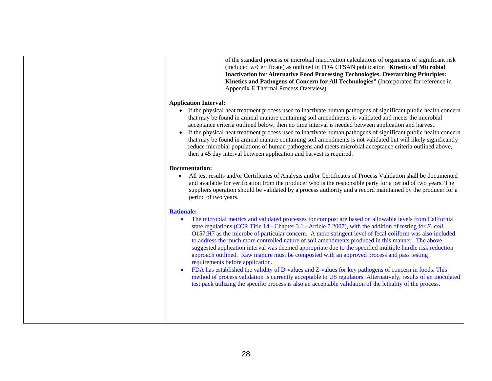| of the standard process or microbial inactivation calculations of organisms of significant risk<br>(included w/Certificate) as outlined in FDA CFSAN publication "Kinetics of Microbial<br><b>Inactivation for Alternative Food Processing Technologies. Overarching Principles:</b><br>Kinetics and Pathogens of Concern for All Technologies" (Incorporated for reference in<br>Appendix E Thermal Process Overview)                                                                                                                                                                                                                                                                                                                                                                                                                                                                                                                                                                                                                                                     |
|----------------------------------------------------------------------------------------------------------------------------------------------------------------------------------------------------------------------------------------------------------------------------------------------------------------------------------------------------------------------------------------------------------------------------------------------------------------------------------------------------------------------------------------------------------------------------------------------------------------------------------------------------------------------------------------------------------------------------------------------------------------------------------------------------------------------------------------------------------------------------------------------------------------------------------------------------------------------------------------------------------------------------------------------------------------------------|
| <b>Application Interval:</b><br>• If the physical heat treatment process used to inactivate human pathogens of significant public health concern<br>that may be found in animal manure containing soil amendments, is validated and meets the microbial<br>acceptance criteria outlined below, then no time interval is needed between application and harvest.<br>If the physical heat treatment process used to inactivate human pathogens of significant public health concern<br>$\bullet$<br>that may be found in animal manure containing soil amendments is not validated but will likely significantly<br>reduce microbial populations of human pathogens and meets microbial acceptance criteria outlined above,<br>then a 45 day interval between application and harvest is required.                                                                                                                                                                                                                                                                           |
| <b>Documentation:</b><br>All test results and/or Certificates of Analysis and/or Certificates of Process Validation shall be documented<br>$\bullet$<br>and available for verification from the producer who is the responsible party for a period of two years. The<br>suppliers operation should be validated by a process authority and a record maintained by the producer for a<br>period of two years.                                                                                                                                                                                                                                                                                                                                                                                                                                                                                                                                                                                                                                                               |
| <b>Rationale:</b><br>The microbial metrics and validated processes for compost are based on allowable levels from California<br>$\bullet$<br>state regulations (CCR Title 14 - Chapter 3.1 - Article 7 2007), with the addition of testing for E. coli<br>O157:H7 as the microbe of particular concern. A more stringent level of fecal coliform was also included<br>to address the much more controlled nature of soil amendments produced in this manner. The above<br>suggested application interval was deemed appropriate due to the specified multiple hurdle risk reduction<br>approach outlined. Raw manure must be composted with an approved process and pass testing<br>requirements before application.<br>FDA has established the validity of D-values and Z-values for key pathogens of concern in foods. This<br>$\bullet$<br>method of process validation is currently acceptable to US regulators. Alternatively, results of an inoculated<br>test pack utilizing the specific process is also an acceptable validation of the lethality of the process. |
|                                                                                                                                                                                                                                                                                                                                                                                                                                                                                                                                                                                                                                                                                                                                                                                                                                                                                                                                                                                                                                                                            |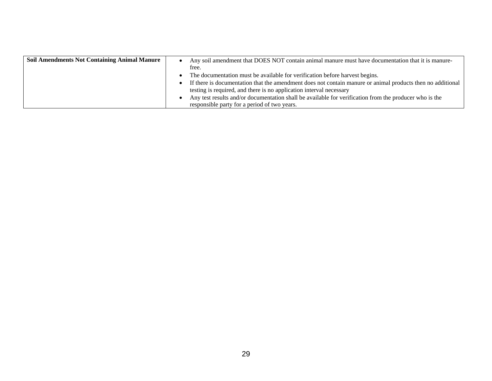| <b>Soil Amendments Not Containing Animal Manure</b> | Any soil amendment that DOES NOT contain animal manure must have documentation that it is manure-<br>$\bullet$ |
|-----------------------------------------------------|----------------------------------------------------------------------------------------------------------------|
|                                                     | free.                                                                                                          |
|                                                     | The documentation must be available for verification before harvest begins.                                    |
|                                                     | If there is documentation that the amendment does not contain manure or animal products then no additional     |
|                                                     | testing is required, and there is no application interval necessary                                            |
|                                                     | Any test results and/or documentation shall be available for verification from the producer who is the         |
|                                                     | responsible party for a period of two years.                                                                   |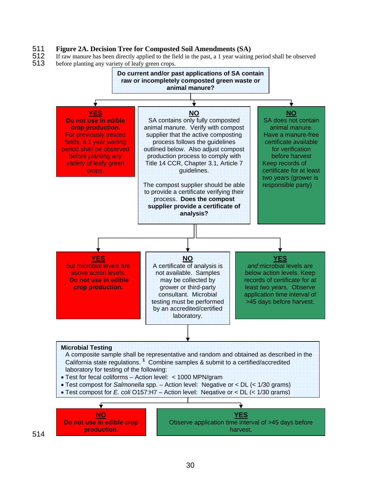# 511 **Figure 2A. Decision Tree for Composted Soil Amendments (SA)**

- 512 If raw manure has been directly applied to the field in the past, a 1 year waiting period shall be observed 513 before planting any variety of leafy green crops.
- before planting any variety of leafy green crops.

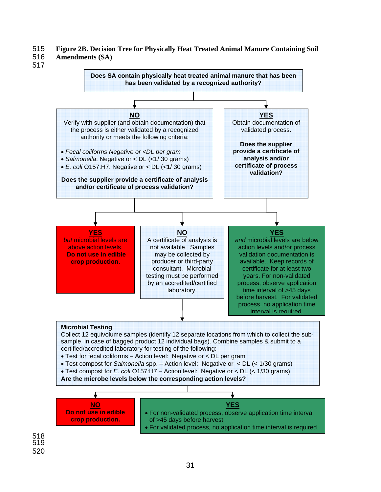### 515 **Figure 2B. Decision Tree for Physically Heat Treated Animal Manure Containing Soil**

- 516 **Amendments (SA)**
- 517



518 519 520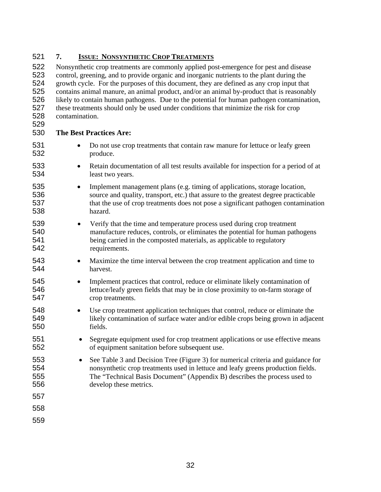### **7. ISSUE: NONSYNTHETIC CROP TREATMENTS**

Nonsynthetic crop treatments are commonly applied post-emergence for pest and disease control, greening, and to provide organic and inorganic nutrients to the plant during the growth cycle. For the purposes of this document, they are defined as any crop input that contains animal manure, an animal product, and/or an animal by-product that is reasonably likely to contain human pathogens. Due to the potential for human pathogen contamination, these treatments should only be used under conditions that minimize the risk for crop contamination.

# **The Best Practices Are:**

- Do not use crop treatments that contain raw manure for lettuce or leafy green produce.
- Retain documentation of all test results available for inspection for a period of at least two years.
- Implement management plans (e.g. timing of applications, storage location, source and quality, transport, etc.) that assure to the greatest degree practicable that the use of crop treatments does not pose a significant pathogen contamination hazard.
- Verify that the time and temperature process used during crop treatment manufacture reduces, controls, or eliminates the potential for human pathogens being carried in the composted materials, as applicable to regulatory requirements.
- Maximize the time interval between the crop treatment application and time to harvest.
- Implement practices that control, reduce or eliminate likely contamination of lettuce/leafy green fields that may be in close proximity to on-farm storage of crop treatments.
- Use crop treatment application techniques that control, reduce or eliminate the likely contamination of surface water and/or edible crops being grown in adjacent fields.
- Segregate equipment used for crop treatment applications or use effective means of equipment sanitation before subsequent use.
- See Table 3 and Decision Tree (Figure 3) for numerical criteria and guidance for nonsynthetic crop treatments used in lettuce and leafy greens production fields. The "Technical Basis Document" (Appendix B) describes the process used to develop these metrics.
- 
- 
-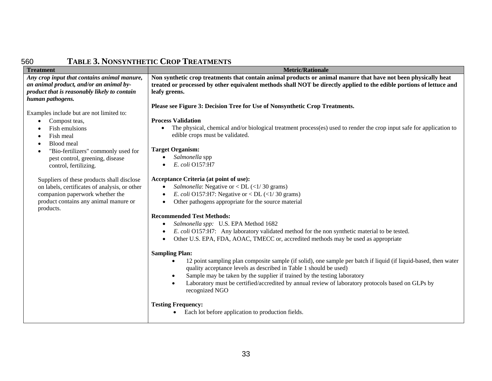| 560                                                                                                                                                        | <b>TABLE 3. NONSYNTHETIC CROP TREATMENTS</b>                                                                                                                                                                                                            |
|------------------------------------------------------------------------------------------------------------------------------------------------------------|---------------------------------------------------------------------------------------------------------------------------------------------------------------------------------------------------------------------------------------------------------|
| <b>Treatment</b>                                                                                                                                           | <b>Metric/Rationale</b>                                                                                                                                                                                                                                 |
| Any crop input that contains animal manure,<br>an animal product, and/or an animal by-<br>product that is reasonably likely to contain<br>human pathogens. | Non synthetic crop treatments that contain animal products or animal manure that have not been physically heat<br>treated or processed by other equivalent methods shall NOT be directly applied to the edible portions of lettuce and<br>leafy greens. |
|                                                                                                                                                            | Please see Figure 3: Decision Tree for Use of Nonsynthetic Crop Treatments.                                                                                                                                                                             |
| Examples include but are not limited to:                                                                                                                   |                                                                                                                                                                                                                                                         |
| Compost teas,<br>$\bullet$                                                                                                                                 | <b>Process Validation</b>                                                                                                                                                                                                                               |
| Fish emulsions                                                                                                                                             | The physical, chemical and/or biological treatment process(es) used to render the crop input safe for application to<br>$\bullet$                                                                                                                       |
| Fish meal<br>٠                                                                                                                                             | edible crops must be validated.                                                                                                                                                                                                                         |
| Blood meal                                                                                                                                                 | <b>Target Organism:</b>                                                                                                                                                                                                                                 |
| "Bio-fertilizers" commonly used for                                                                                                                        | Salmonella spp                                                                                                                                                                                                                                          |
| pest control, greening, disease<br>control, fertilizing.                                                                                                   | E. coli O157:H7                                                                                                                                                                                                                                         |
|                                                                                                                                                            |                                                                                                                                                                                                                                                         |
| Suppliers of these products shall disclose                                                                                                                 | Acceptance Criteria (at point of use):                                                                                                                                                                                                                  |
| on labels, certificates of analysis, or other                                                                                                              | <i>Salmonella:</i> Negative or < DL $(\langle 1/30 \text{ grams})$<br>$\bullet$                                                                                                                                                                         |
| companion paperwork whether the                                                                                                                            | E. coli O157:H7: Negative or < DL $(\langle 1/30 \text{ grams})$                                                                                                                                                                                        |
| product contains any animal manure or<br>products.                                                                                                         | Other pathogens appropriate for the source material                                                                                                                                                                                                     |
|                                                                                                                                                            | <b>Recommended Test Methods:</b>                                                                                                                                                                                                                        |
|                                                                                                                                                            | Salmonella spp: U.S. EPA Method 1682                                                                                                                                                                                                                    |
|                                                                                                                                                            | E. coli O157:H7: Any laboratory validated method for the non synthetic material to be tested.                                                                                                                                                           |
|                                                                                                                                                            | Other U.S. EPA, FDA, AOAC, TMECC or, accredited methods may be used as appropriate                                                                                                                                                                      |
|                                                                                                                                                            |                                                                                                                                                                                                                                                         |
|                                                                                                                                                            | <b>Sampling Plan:</b>                                                                                                                                                                                                                                   |
|                                                                                                                                                            | 12 point sampling plan composite sample (if solid), one sample per batch if liquid (if liquid-based, then water<br>$\bullet$                                                                                                                            |
|                                                                                                                                                            | quality acceptance levels as described in Table 1 should be used)<br>Sample may be taken by the supplier if trained by the testing laboratory<br>$\bullet$                                                                                              |
|                                                                                                                                                            | Laboratory must be certified/accredited by annual review of laboratory protocols based on GLPs by<br>$\bullet$                                                                                                                                          |
|                                                                                                                                                            | recognized NGO                                                                                                                                                                                                                                          |
|                                                                                                                                                            |                                                                                                                                                                                                                                                         |
|                                                                                                                                                            | <b>Testing Frequency:</b>                                                                                                                                                                                                                               |
|                                                                                                                                                            | Each lot before application to production fields.                                                                                                                                                                                                       |
|                                                                                                                                                            |                                                                                                                                                                                                                                                         |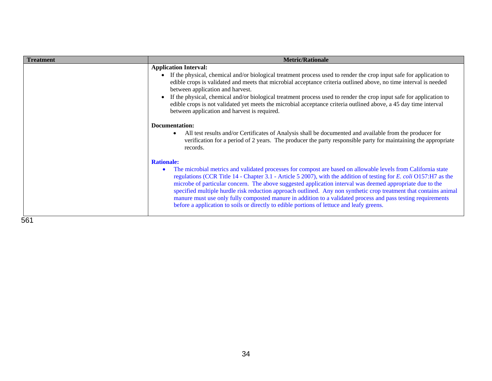| <b>Treatment</b> | <b>Metric/Rationale</b>                                                                                                                                                                                                                                                                                                                                                                                                                                                                                                                                                                                                                                                                                 |
|------------------|---------------------------------------------------------------------------------------------------------------------------------------------------------------------------------------------------------------------------------------------------------------------------------------------------------------------------------------------------------------------------------------------------------------------------------------------------------------------------------------------------------------------------------------------------------------------------------------------------------------------------------------------------------------------------------------------------------|
|                  | <b>Application Interval:</b><br>If the physical, chemical and/or biological treatment process used to render the crop input safe for application to<br>edible crops is validated and meets that microbial acceptance criteria outlined above, no time interval is needed<br>between application and harvest.<br>If the physical, chemical and/or biological treatment process used to render the crop input safe for application to<br>edible crops is not validated yet meets the microbial acceptance criteria outlined above, a 45 day time interval<br>between application and harvest is required.                                                                                                 |
|                  | Documentation:<br>All test results and/or Certificates of Analysis shall be documented and available from the producer for<br>verification for a period of 2 years. The producer the party responsible party for maintaining the appropriate<br>records.                                                                                                                                                                                                                                                                                                                                                                                                                                                |
|                  | <b>Rationale:</b><br>The microbial metrics and validated processes for compost are based on allowable levels from California state<br>regulations (CCR Title 14 - Chapter 3.1 - Article 5 2007), with the addition of testing for E. coli O157:H7 as the<br>microbe of particular concern. The above suggested application interval was deemed appropriate due to the<br>specified multiple hurdle risk reduction approach outlined. Any non synthetic crop treatment that contains animal<br>manure must use only fully composted manure in addition to a validated process and pass testing requirements<br>before a application to soils or directly to edible portions of lettuce and leafy greens. |
| E C 1            |                                                                                                                                                                                                                                                                                                                                                                                                                                                                                                                                                                                                                                                                                                         |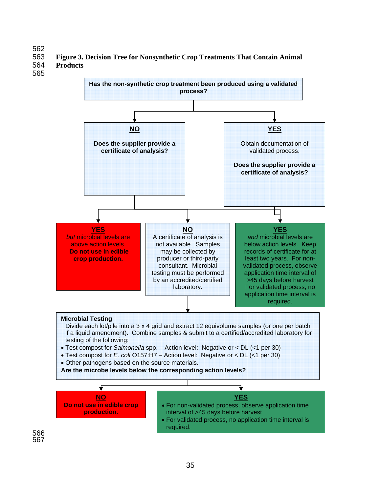### 562 563 **Figure 3. Decision Tree for Nonsynthetic Crop Treatments That Contain Animal**  564 **Products**

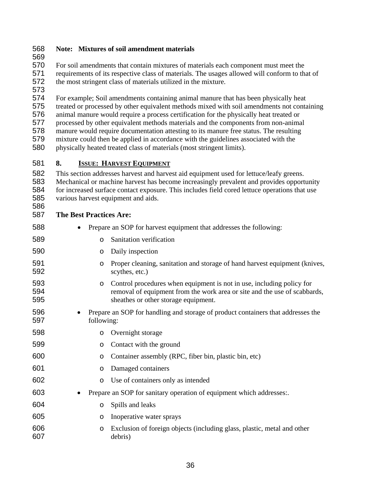### **Note: Mixtures of soil amendment materials**

 For soil amendments that contain mixtures of materials each component must meet the requirements of its respective class of materials. The usages allowed will conform to that of the most stringent class of materials utilized in the mixture.

 For example; Soil amendments containing animal manure that has been physically heat treated or processed by other equivalent methods mixed with soil amendments not containing animal manure would require a process certification for the physically heat treated or processed by other equivalent methods materials and the components from non-animal manure would require documentation attesting to its manure free status. The resulting mixture could then be applied in accordance with the guidelines associated with the physically heated treated class of materials (most stringent limits).

### **8. ISSUE: HARVEST EQUIPMENT**

This section addresses harvest and harvest aid equipment used for lettuce/leafy greens. Mechanical or machine harvest has become increasingly prevalent and provides opportunity for increased surface contact exposure. This includes field cored lettuce operations that use various harvest equipment and aids. 

### **The Best Practices Are:**

- Prepare an SOP for harvest equipment that addresses the following:
- o Sanitation verification
- o Daily inspection
- 591 o Proper cleaning, sanitation and storage of hand harvest equipment (knives, scythes, etc.) scythes, etc.)
- 593 o Control procedures when equipment is not in use, including policy for<br>594 control of equipment from the work area or site and the use of scabball removal of equipment from the work area or site and the use of scabbards, sheathes or other storage equipment.
- Prepare an SOP for handling and storage of product containers that addresses the following:
- o Overnight storage
- o Contact with the ground
- o Container assembly (RPC, fiber bin, plastic bin, etc)
- o Damaged containers
- o Use of containers only as intended
- Prepare an SOP for sanitary operation of equipment which addresses:.
- o Spills and leaks
- o Inoperative water sprays
- o Exclusion of foreign objects (including glass, plastic, metal and other debris)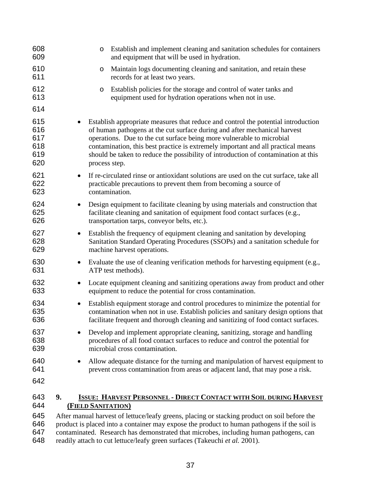| 608<br>609                             | Establish and implement cleaning and sanitation schedules for containers<br>$\circ$<br>and equipment that will be used in hydration.                                                                                                                                                                                                                                                                                               |
|----------------------------------------|------------------------------------------------------------------------------------------------------------------------------------------------------------------------------------------------------------------------------------------------------------------------------------------------------------------------------------------------------------------------------------------------------------------------------------|
| 610<br>611                             | Maintain logs documenting cleaning and sanitation, and retain these<br>O<br>records for at least two years.                                                                                                                                                                                                                                                                                                                        |
| 612<br>613                             | Establish policies for the storage and control of water tanks and<br>O<br>equipment used for hydration operations when not in use.                                                                                                                                                                                                                                                                                                 |
| 614                                    |                                                                                                                                                                                                                                                                                                                                                                                                                                    |
| 615<br>616<br>617<br>618<br>619<br>620 | Establish appropriate measures that reduce and control the potential introduction<br>of human pathogens at the cut surface during and after mechanical harvest<br>operations. Due to the cut surface being more vulnerable to microbial<br>contamination, this best practice is extremely important and all practical means<br>should be taken to reduce the possibility of introduction of contamination at this<br>process step. |
| 621<br>622<br>623                      | If re-circulated rinse or antioxidant solutions are used on the cut surface, take all<br>practicable precautions to prevent them from becoming a source of<br>contamination.                                                                                                                                                                                                                                                       |
| 624<br>625<br>626                      | Design equipment to facilitate cleaning by using materials and construction that<br>facilitate cleaning and sanitation of equipment food contact surfaces (e.g.,<br>transportation tarps, conveyor belts, etc.).                                                                                                                                                                                                                   |
| 627<br>628<br>629                      | Establish the frequency of equipment cleaning and sanitation by developing<br>$\bullet$<br>Sanitation Standard Operating Procedures (SSOPs) and a sanitation schedule for<br>machine harvest operations.                                                                                                                                                                                                                           |
| 630<br>631                             | Evaluate the use of cleaning verification methods for harvesting equipment (e.g.,<br>$\bullet$<br>ATP test methods).                                                                                                                                                                                                                                                                                                               |
| 632<br>633                             | Locate equipment cleaning and sanitizing operations away from product and other<br>$\bullet$<br>equipment to reduce the potential for cross contamination.                                                                                                                                                                                                                                                                         |
| 634<br>635<br>636                      | Establish equipment storage and control procedures to minimize the potential for<br>$\bullet$<br>contamination when not in use. Establish policies and sanitary design options that<br>facilitate frequent and thorough cleaning and sanitizing of food contact surfaces.                                                                                                                                                          |
| 637<br>638<br>639                      | Develop and implement appropriate cleaning, sanitizing, storage and handling<br>procedures of all food contact surfaces to reduce and control the potential for<br>microbial cross contamination.                                                                                                                                                                                                                                  |
| 640<br>641<br>642                      | Allow adequate distance for the turning and manipulation of harvest equipment to<br>prevent cross contamination from areas or adjacent land, that may pose a risk.                                                                                                                                                                                                                                                                 |
| 643<br>644<br>645                      | 9.<br><b>ISSUE: HARVEST PERSONNEL - DIRECT CONTACT WITH SOIL DURING HARVEST</b><br><b>(FIELD SANITATION)</b>                                                                                                                                                                                                                                                                                                                       |
| 646                                    | After manual harvest of lettuce/leafy greens, placing or stacking product on soil before the<br>product is placed into a container may expose the product to human pathogens if the soil is                                                                                                                                                                                                                                        |

contaminated. Research has demonstrated that microbes, including human pathogens, can readily attach to cut lettuce/leafy green surfaces (Takeuchi *et al.* 2001).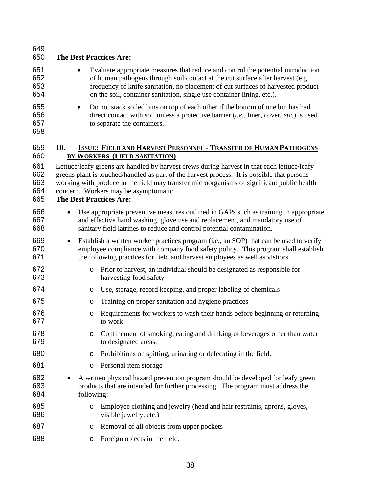| 649<br>650                      | <b>The Best Practices Are:</b>                                                                                                                                                                                                                                                                                                                                      |
|---------------------------------|---------------------------------------------------------------------------------------------------------------------------------------------------------------------------------------------------------------------------------------------------------------------------------------------------------------------------------------------------------------------|
| 651<br>652<br>653<br>654        | Evaluate appropriate measures that reduce and control the potential introduction<br>$\bullet$<br>of human pathogens through soil contact at the cut surface after harvest (e.g.<br>frequency of knife sanitation, no placement of cut surfaces of harvested product<br>on the soil, container sanitation, single use container lining, etc.).                       |
| 655<br>656<br>657<br>658        | Do not stack soiled bins on top of each other if the bottom of one bin has had<br>$\bullet$<br>direct contact with soil unless a protective barrier (i.e., liner, cover, etc.) is used<br>to separate the containers                                                                                                                                                |
| 659<br>660                      | <b>ISSUE: FIELD AND HARVEST PERSONNEL - TRANSFER OF HUMAN PATHOGENS</b><br>10.<br><b>BY WORKERS (FIELD SANITATION)</b>                                                                                                                                                                                                                                              |
| 661<br>662<br>663<br>664<br>665 | Lettuce/leafy greens are handled by harvest crews during harvest in that each lettuce/leafy<br>greens plant is touched/handled as part of the harvest process. It is possible that persons<br>working with produce in the field may transfer microorganisms of significant public health<br>concern. Workers may be asymptomatic.<br><b>The Best Practices Are:</b> |
| 666<br>667<br>668               | Use appropriate preventive measures outlined in GAPs such as training in appropriate<br>and effective hand washing, glove use and replacement, and mandatory use of<br>sanitary field latrines to reduce and control potential contamination.                                                                                                                       |
| 669<br>670<br>671               | Establish a written worker practices program (i.e., an SOP) that can be used to verify<br>$\bullet$<br>employee compliance with company food safety policy. This program shall establish<br>the following practices for field and harvest employees as well as visitors.                                                                                            |
| 672<br>673                      | Prior to harvest, an individual should be designated as responsible for<br>$\circ$<br>harvesting food safety                                                                                                                                                                                                                                                        |
| 674                             | Use, storage, record keeping, and proper labeling of chemicals<br>O                                                                                                                                                                                                                                                                                                 |
| 675                             | Training on proper sanitation and hygiene practices<br>O                                                                                                                                                                                                                                                                                                            |
| 676<br>677                      | Requirements for workers to wash their hands before beginning or returning<br>O<br>to work                                                                                                                                                                                                                                                                          |
| 678<br>679                      | Confinement of smoking, eating and drinking of beverages other than water<br>O<br>to designated areas.                                                                                                                                                                                                                                                              |
| 680                             | Prohibitions on spitting, urinating or defecating in the field.<br>O                                                                                                                                                                                                                                                                                                |
| 681                             | Personal item storage<br>O                                                                                                                                                                                                                                                                                                                                          |
| 682<br>683<br>684               | A written physical hazard prevention program should be developed for leafy green<br>products that are intended for further processing. The program must address the<br>following:                                                                                                                                                                                   |
| 685<br>686                      | Employee clothing and jewelry (head and hair restraints, aprons, gloves,<br>$\circ$<br>visible jewelry, etc.)                                                                                                                                                                                                                                                       |
| 687                             | Removal of all objects from upper pockets<br>O                                                                                                                                                                                                                                                                                                                      |
| 688                             | Foreign objects in the field.<br>O                                                                                                                                                                                                                                                                                                                                  |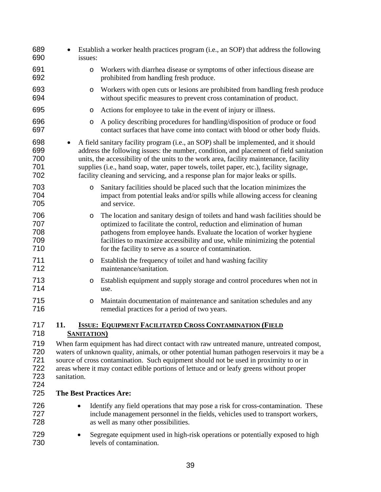| 689<br>690                             | Establish a worker health practices program (i.e., an SOP) that address the following<br>issues:                                                                                                                                                                                                                                                                                                                                                      |
|----------------------------------------|-------------------------------------------------------------------------------------------------------------------------------------------------------------------------------------------------------------------------------------------------------------------------------------------------------------------------------------------------------------------------------------------------------------------------------------------------------|
| 691<br>692                             | Workers with diarrhea disease or symptoms of other infectious disease are<br>$\circ$<br>prohibited from handling fresh produce.                                                                                                                                                                                                                                                                                                                       |
| 693<br>694                             | Workers with open cuts or lesions are prohibited from handling fresh produce<br>O<br>without specific measures to prevent cross contamination of product.                                                                                                                                                                                                                                                                                             |
| 695                                    | Actions for employee to take in the event of injury or illness.<br>O                                                                                                                                                                                                                                                                                                                                                                                  |
| 696<br>697                             | A policy describing procedures for handling/disposition of produce or food<br>$\circ$<br>contact surfaces that have come into contact with blood or other body fluids.                                                                                                                                                                                                                                                                                |
| 698<br>699<br>700<br>701<br>702        | A field sanitary facility program (i.e., an SOP) shall be implemented, and it should<br>address the following issues: the number, condition, and placement of field sanitation<br>units, the accessibility of the units to the work area, facility maintenance, facility<br>supplies (i.e., hand soap, water, paper towels, toilet paper, etc.), facility signage,<br>facility cleaning and servicing, and a response plan for major leaks or spills. |
| 703<br>704<br>705                      | Sanitary facilities should be placed such that the location minimizes the<br>$\circ$<br>impact from potential leaks and/or spills while allowing access for cleaning<br>and service.                                                                                                                                                                                                                                                                  |
| 706<br>707<br>708<br>709<br>710        | The location and sanitary design of toilets and hand wash facilities should be<br>O<br>optimized to facilitate the control, reduction and elimination of human<br>pathogens from employee hands. Evaluate the location of worker hygiene<br>facilities to maximize accessibility and use, while minimizing the potential<br>for the facility to serve as a source of contamination.                                                                   |
| 711<br>712                             | Establish the frequency of toilet and hand washing facility<br>O<br>maintenance/sanitation.                                                                                                                                                                                                                                                                                                                                                           |
| 713<br>714                             | Establish equipment and supply storage and control procedures when not in<br>O<br>use.                                                                                                                                                                                                                                                                                                                                                                |
| 715<br>716                             | Maintain documentation of maintenance and sanitation schedules and any<br>$\circ$<br>remedial practices for a period of two years.                                                                                                                                                                                                                                                                                                                    |
| 717<br>718                             | <b>ISSUE: EQUIPMENT FACILITATED CROSS CONTAMINATION (FIELD</b><br>11.<br><b>SANITATION</b>                                                                                                                                                                                                                                                                                                                                                            |
| 719<br>720<br>721<br>722<br>723<br>724 | When farm equipment has had direct contact with raw untreated manure, untreated compost,<br>waters of unknown quality, animals, or other potential human pathogen reservoirs it may be a<br>source of cross contamination. Such equipment should not be used in proximity to or in<br>areas where it may contact edible portions of lettuce and or leafy greens without proper<br>sanitation.                                                         |
| 725                                    | <b>The Best Practices Are:</b>                                                                                                                                                                                                                                                                                                                                                                                                                        |
| 726<br>727<br>728                      | Identify any field operations that may pose a risk for cross-contamination. These<br>include management personnel in the fields, vehicles used to transport workers,<br>as well as many other possibilities.                                                                                                                                                                                                                                          |
| 729<br>730                             | Segregate equipment used in high-risk operations or potentially exposed to high<br>levels of contamination.                                                                                                                                                                                                                                                                                                                                           |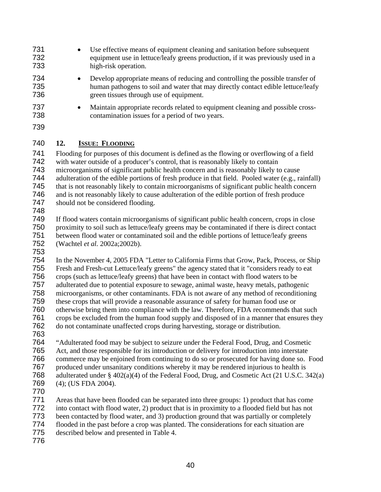- Use effective means of equipment cleaning and sanitation before subsequent equipment use in lettuce/leafy greens production, if it was previously used in a high-risk operation.
- 
- Develop appropriate means of reducing and controlling the possible transfer of human pathogens to soil and water that may directly contact edible lettuce/leafy green tissues through use of equipment.
- Maintain appropriate records related to equipment cleaning and possible cross-contamination issues for a period of two years.
- 

# **12. ISSUE: FLOODING**

Flooding for purposes of this document is defined as the flowing or overflowing of a field with water outside of a producer's control, that is reasonably likely to contain microorganisms of significant public health concern and is reasonably likely to cause adulteration of the edible portions of fresh produce in that field. Pooled water (e.g., rainfall) that is not reasonably likely to contain microorganisms of significant public health concern and is not reasonably likely to cause adulteration of the edible portion of fresh produce 747 should not be considered flooding.

If flood waters contain microorganisms of significant public health concern, crops in close proximity to soil such as lettuce/leafy greens may be contaminated if there is direct contact between flood water or contaminated soil and the edible portions of lettuce/leafy greens (Wachtel *et al.* 2002a;2002b).

In the November 4, 2005 FDA "Letter to California Firms that Grow, Pack, Process, or Ship Fresh and Fresh-cut Lettuce/leafy greens" the agency stated that it "considers ready to eat crops (such as lettuce/leafy greens) that have been in contact with flood waters to be adulterated due to potential exposure to sewage, animal waste, heavy metals, pathogenic microorganisms, or other contaminants. FDA is not aware of any method of reconditioning these crops that will provide a reasonable assurance of safety for human food use or otherwise bring them into compliance with the law. Therefore, FDA recommends that such crops be excluded from the human food supply and disposed of in a manner that ensures they do not contaminate unaffected crops during harvesting, storage or distribution.

"Adulterated food may be subject to seizure under the Federal Food, Drug, and Cosmetic Act, and those responsible for its introduction or delivery for introduction into interstate commerce may be enjoined from continuing to do so or prosecuted for having done so. Food produced under unsanitary conditions whereby it may be rendered injurious to health is adulterated under § 402(a)(4) of the Federal Food, Drug, and Cosmetic Act (21 U.S.C. 342(a) (4); (US FDA 2004).

Areas that have been flooded can be separated into three groups: 1) product that has come into contact with flood water, 2) product that is in proximity to a flooded field but has not been contacted by flood water, and 3) production ground that was partially or completely flooded in the past before a crop was planted. The considerations for each situation are described below and presented in Table 4.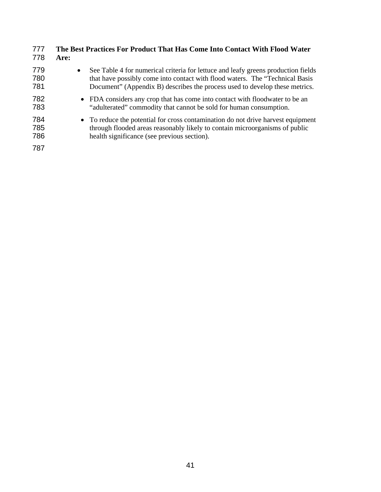| 777               | The Best Practices For Product That Has Come Into Contact With Flood Water                                                                                                                                                                                     |
|-------------------|----------------------------------------------------------------------------------------------------------------------------------------------------------------------------------------------------------------------------------------------------------------|
| 778               | Are:                                                                                                                                                                                                                                                           |
| 779<br>780<br>781 | See Table 4 for numerical criteria for lettuce and leafy greens production fields<br>$\bullet$<br>that have possibly come into contact with flood waters. The "Technical Basis"<br>Document" (Appendix B) describes the process used to develop these metrics. |
| 782               | • FDA considers any crop that has come into contact with floodwater to be an                                                                                                                                                                                   |
| 783               | "adulterated" commodity that cannot be sold for human consumption.                                                                                                                                                                                             |
| 784               | • To reduce the potential for cross contamination do not drive harvest equipment                                                                                                                                                                               |
| 785               | through flooded areas reasonably likely to contain microorganisms of public                                                                                                                                                                                    |
| 786               | health significance (see previous section).                                                                                                                                                                                                                    |
| 787               |                                                                                                                                                                                                                                                                |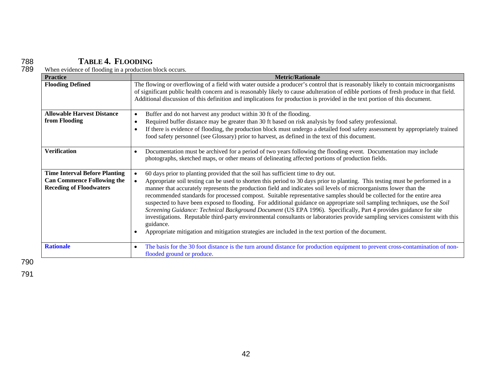# 788 **TABLE 4. FLOODING**

| <b>Practice</b>                                                                                             | <b>Metric/Rationale</b>                                                                                                                                                                                                                                                                                                                                                                                                                                                                                                                                                                                                                                                                                                                                                                                                                                                                                                                                              |
|-------------------------------------------------------------------------------------------------------------|----------------------------------------------------------------------------------------------------------------------------------------------------------------------------------------------------------------------------------------------------------------------------------------------------------------------------------------------------------------------------------------------------------------------------------------------------------------------------------------------------------------------------------------------------------------------------------------------------------------------------------------------------------------------------------------------------------------------------------------------------------------------------------------------------------------------------------------------------------------------------------------------------------------------------------------------------------------------|
| <b>Flooding Defined</b>                                                                                     | The flowing or overflowing of a field with water outside a producer's control that is reasonably likely to contain microorganisms<br>of significant public health concern and is reasonably likely to cause adulteration of edible portions of fresh produce in that field.<br>Additional discussion of this definition and implications for production is provided in the text portion of this document.                                                                                                                                                                                                                                                                                                                                                                                                                                                                                                                                                            |
| <b>Allowable Harvest Distance</b><br>from Flooding                                                          | Buffer and do not harvest any product within 30 ft of the flooding.<br>$\bullet$<br>Required buffer distance may be greater than 30 ft based on risk analysis by food safety professional.<br>$\bullet$<br>If there is evidence of flooding, the production block must undergo a detailed food safety assessment by appropriately trained<br>food safety personnel (see Glossary) prior to harvest, as defined in the text of this document.                                                                                                                                                                                                                                                                                                                                                                                                                                                                                                                         |
| <b>Verification</b>                                                                                         | Documentation must be archived for a period of two years following the flooding event. Documentation may include<br>$\bullet$<br>photographs, sketched maps, or other means of delineating affected portions of production fields.                                                                                                                                                                                                                                                                                                                                                                                                                                                                                                                                                                                                                                                                                                                                   |
| <b>Time Interval Before Planting</b><br><b>Can Commence Following the</b><br><b>Receding of Floodwaters</b> | 60 days prior to planting provided that the soil has sufficient time to dry out.<br>Appropriate soil testing can be used to shorten this period to 30 days prior to planting. This testing must be performed in a<br>manner that accurately represents the production field and indicates soil levels of microorganisms lower than the<br>recommended standards for processed compost. Suitable representative samples should be collected for the entire area<br>suspected to have been exposed to flooding. For additional guidance on appropriate soil sampling techniques, use the Soil<br>Screening Guidance: Technical Background Document (US EPA 1996). Specifically, Part 4 provides guidance for site<br>investigations. Reputable third-party environmental consultants or laboratories provide sampling services consistent with this<br>guidance.<br>Appropriate mitigation and mitigation strategies are included in the text portion of the document. |
| <b>Rationale</b>                                                                                            | The basis for the 30 foot distance is the turn around distance for production equipment to prevent cross-contamination of non-<br>$\bullet$<br>flooded ground or produce.                                                                                                                                                                                                                                                                                                                                                                                                                                                                                                                                                                                                                                                                                                                                                                                            |

789 When evidence of flooding in a production block occurs.

790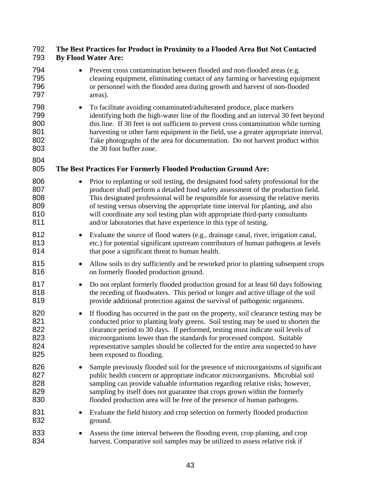## **The Best Practices for Product in Proximity to a Flooded Area But Not Contacted By Flood Water Are:**

| 794<br>795<br>796<br>797               | Prevent cross contamination between flooded and non-flooded areas (e.g.<br>cleaning equipment, eliminating contact of any farming or harvesting equipment<br>or personnel with the flooded area during growth and harvest of non-flooded<br>areas).                                                                                                                                                                                                                                                                     |
|----------------------------------------|-------------------------------------------------------------------------------------------------------------------------------------------------------------------------------------------------------------------------------------------------------------------------------------------------------------------------------------------------------------------------------------------------------------------------------------------------------------------------------------------------------------------------|
| 798<br>799<br>800<br>801<br>802<br>803 | To facilitate avoiding contaminated/adulterated produce, place markers<br>$\bullet$<br>identifying both the high-water line of the flooding and an interval 30 feet beyond<br>this line. If 30 feet is not sufficient to prevent cross contamination while turning<br>harvesting or other farm equipment in the field, use a greater appropriate interval.<br>Take photographs of the area for documentation. Do not harvest product within<br>the 30 foot buffer zone.                                                 |
| 804<br>805                             | The Best Practices For Formerly Flooded Production Ground Are:                                                                                                                                                                                                                                                                                                                                                                                                                                                          |
| 806<br>807<br>808<br>809<br>810<br>811 | Prior to replanting or soil testing, the designated food safety professional for the<br>$\bullet$<br>producer shall perform a detailed food safety assessment of the production field.<br>This designated professional will be responsible for assessing the relative merits<br>of testing versus observing the appropriate time interval for planting, and also<br>will coordinate any soil testing plan with appropriate third-party consultants<br>and/or laboratories that have experience in this type of testing. |
| 812<br>813<br>814                      | Evaluate the source of flood waters (e.g., drainage canal, river, irrigation canal,<br>$\bullet$<br>etc.) for potential significant upstream contributors of human pathogens at levels<br>that pose a significant threat to human health.                                                                                                                                                                                                                                                                               |
| 815<br>816                             | Allow soils to dry sufficiently and be reworked prior to planting subsequent crops<br>$\bullet$<br>on formerly flooded production ground.                                                                                                                                                                                                                                                                                                                                                                               |
| 817<br>818<br>819                      | Do not replant formerly flooded production ground for at least 60 days following<br>$\bullet$<br>the receding of floodwaters. This period or longer and active tillage of the soil<br>provide additional protection against the survival of pathogenic organisms.                                                                                                                                                                                                                                                       |
| 820<br>821<br>822<br>823<br>824<br>825 | If flooding has occurred in the past on the property, soil clearance testing may be<br>$\bullet$<br>conducted prior to planting leafy greens. Soil testing may be used to shorten the<br>clearance period to 30 days. If performed, testing must indicate soil levels of<br>microorganisms lower than the standards for processed compost. Suitable<br>representative samples should be collected for the entire area suspected to have<br>been exposed to flooding.                                                    |
| 826<br>827<br>828<br>829<br>830        | Sample previously flooded soil for the presence of microorganisms of significant<br>$\bullet$<br>public health concern or appropriate indicator microorganisms. Microbial soil<br>sampling can provide valuable information regarding relative risks; however,<br>sampling by itself does not guarantee that crops grown within the formerly<br>flooded production area will be free of the presence of human pathogens.                                                                                                |
| 831<br>832                             | Evaluate the field history and crop selection on formerly flooded production<br>$\bullet$<br>ground.                                                                                                                                                                                                                                                                                                                                                                                                                    |
| 833<br>834                             | Assess the time interval between the flooding event, crop planting, and crop<br>harvest. Comparative soil samples may be utilized to assess relative risk if                                                                                                                                                                                                                                                                                                                                                            |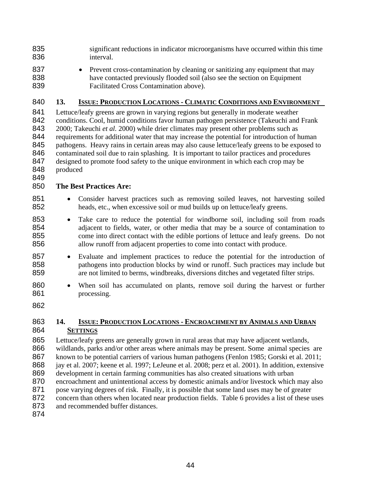| 835 | significant reductions in indicator microorganisms have occurred within this time |
|-----|-----------------------------------------------------------------------------------|
| 836 | interval.                                                                         |

837 • Prevent cross-contamination by cleaning or sanitizing any equipment that may have contacted previously flooded soil (also see the section on Equipment Facilitated Cross Contamination above).

## **13. ISSUE: PRODUCTION LOCATIONS - CLIMATIC CONDITIONS AND ENVIRONMENT**

Lettuce/leafy greens are grown in varying regions but generally in moderate weather conditions. Cool, humid conditions favor human pathogen persistence (Takeuchi and Frank 2000; Takeuchi *et al.* 2000) while drier climates may present other problems such as 844 requirements for additional water that may increase the potential for introduction of human 845 pathogens. Heavy rains in certain areas may also cause lettuce/leafy greens to be exposed to 846 contaminated soil due to rain splashing. It is important to tailor practices and procedures 847 designed to promote food safety to the unique environment in which each crop may be produced 

### **The Best Practices Are:**

- Consider harvest practices such as removing soiled leaves, not harvesting soiled heads, etc., when excessive soil or mud builds up on lettuce/leafy greens.
- Take care to reduce the potential for windborne soil, including soil from roads 854 adjacent to fields, water, or other media that may be a source of contamination to come into direct contact with the edible portions of lettuce and leafy greens. Do not come into direct contact with the edible portions of lettuce and leafy greens. Do not allow runoff from adjacent properties to come into contact with produce.
- Evaluate and implement practices to reduce the potential for the introduction of pathogens into production blocks by wind or runoff. Such practices may include but are not limited to berms, windbreaks, diversions ditches and vegetated filter strips.
- 860 When soil has accumulated on plants, remove soil during the harvest or further processing.
- 

### **14. ISSUE: PRODUCTION LOCATIONS - ENCROACHMENT BY ANIMALS AND URBAN SETTINGS**

Lettuce/leafy greens are generally grown in rural areas that may have adjacent wetlands, 866 wildlands, parks and/or other areas where animals may be present. Some animal species are known to be potential carriers of various human pathogens (Fenlon 1985; Gorski et al. 2011; jay et al. 2007; keene et al. 1997; LeJeune et al. 2008; perz et al. 2001). In addition, extensive development in certain farming communities has also created situations with urban encroachment and unintentional access by domestic animals and/or livestock which may also 871 pose varying degrees of risk. Finally, it is possible that some land uses may be of greater 872 concern than others when located near production fields. Table 6 provides a list of these uses 873 and recommended buffer distances.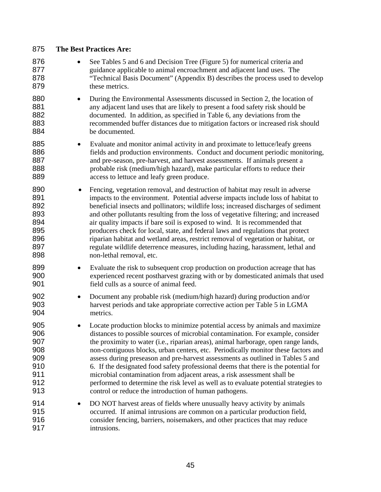| 875                                                         |           | <b>The Best Practices Are:</b>                                                                                                                                                                                                                                                                                                                                                                                                                                                                                                                                                                                                                                                                                                                     |
|-------------------------------------------------------------|-----------|----------------------------------------------------------------------------------------------------------------------------------------------------------------------------------------------------------------------------------------------------------------------------------------------------------------------------------------------------------------------------------------------------------------------------------------------------------------------------------------------------------------------------------------------------------------------------------------------------------------------------------------------------------------------------------------------------------------------------------------------------|
| 876<br>877<br>878<br>879                                    |           | See Tables 5 and 6 and Decision Tree (Figure 5) for numerical criteria and<br>guidance applicable to animal encroachment and adjacent land uses. The<br>"Technical Basis Document" (Appendix B) describes the process used to develop<br>these metrics.                                                                                                                                                                                                                                                                                                                                                                                                                                                                                            |
| 880<br>881<br>882<br>883<br>884                             | ٠         | During the Environmental Assessments discussed in Section 2, the location of<br>any adjacent land uses that are likely to present a food safety risk should be<br>documented. In addition, as specified in Table 6, any deviations from the<br>recommended buffer distances due to mitigation factors or increased risk should<br>be documented.                                                                                                                                                                                                                                                                                                                                                                                                   |
| 885<br>886<br>887<br>888<br>889                             | $\bullet$ | Evaluate and monitor animal activity in and proximate to lettuce/leafy greens<br>fields and production environments. Conduct and document periodic monitoring,<br>and pre-season, pre-harvest, and harvest assessments. If animals present a<br>probable risk (medium/high hazard), make particular efforts to reduce their<br>access to lettuce and leafy green produce.                                                                                                                                                                                                                                                                                                                                                                          |
| 890<br>891<br>892<br>893<br>894<br>895<br>896<br>897<br>898 |           | Fencing, vegetation removal, and destruction of habitat may result in adverse<br>impacts to the environment. Potential adverse impacts include loss of habitat to<br>beneficial insects and pollinators; wildlife loss; increased discharges of sediment<br>and other pollutants resulting from the loss of vegetative filtering; and increased<br>air quality impacts if bare soil is exposed to wind. It is recommended that<br>producers check for local, state, and federal laws and regulations that protect<br>riparian habitat and wetland areas, restrict removal of vegetation or habitat, or<br>regulate wildlife deterrence measures, including hazing, harassment, lethal and<br>non-lethal removal, etc.                              |
| 899<br>900<br>901                                           | $\bullet$ | Evaluate the risk to subsequent crop production on production acreage that has<br>experienced recent postharvest grazing with or by domesticated animals that used<br>field culls as a source of animal feed.                                                                                                                                                                                                                                                                                                                                                                                                                                                                                                                                      |
| 902<br>903<br>904                                           | $\bullet$ | Document any probable risk (medium/high hazard) during production and/or<br>harvest periods and take appropriate corrective action per Table 5 in LGMA<br>metrics.                                                                                                                                                                                                                                                                                                                                                                                                                                                                                                                                                                                 |
| 905<br>906<br>907<br>908<br>909<br>910<br>911<br>912<br>913 |           | Locate production blocks to minimize potential access by animals and maximize<br>distances to possible sources of microbial contamination. For example, consider<br>the proximity to water (i.e., riparian areas), animal harborage, open range lands,<br>non-contiguous blocks, urban centers, etc. Periodically monitor these factors and<br>assess during preseason and pre-harvest assessments as outlined in Tables 5 and<br>6. If the designated food safety professional deems that there is the potential for<br>microbial contamination from adjacent areas, a risk assessment shall be<br>performed to determine the risk level as well as to evaluate potential strategies to<br>control or reduce the introduction of human pathogens. |
| 914<br>915<br>916<br>917                                    |           | DO NOT harvest areas of fields where unusually heavy activity by animals<br>occurred. If animal intrusions are common on a particular production field,<br>consider fencing, barriers, noisemakers, and other practices that may reduce<br>intrusions.                                                                                                                                                                                                                                                                                                                                                                                                                                                                                             |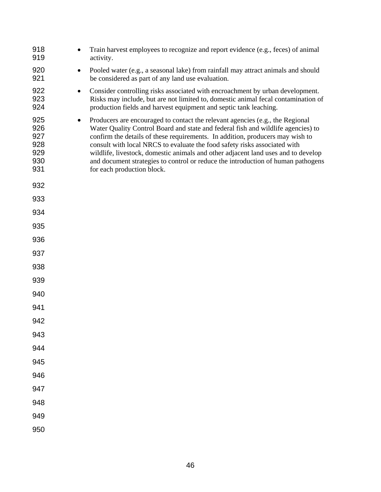| 918<br>919                                                 | Train harvest employees to recognize and report evidence (e.g., feces) of animal<br>activity.                                                                                                                                                                                                                                                                                                                                                                                                                                          |
|------------------------------------------------------------|----------------------------------------------------------------------------------------------------------------------------------------------------------------------------------------------------------------------------------------------------------------------------------------------------------------------------------------------------------------------------------------------------------------------------------------------------------------------------------------------------------------------------------------|
| 920<br>$\bullet$<br>921                                    | Pooled water (e.g., a seasonal lake) from rainfall may attract animals and should<br>be considered as part of any land use evaluation.                                                                                                                                                                                                                                                                                                                                                                                                 |
| 922<br>$\bullet$<br>923<br>924                             | Consider controlling risks associated with encroachment by urban development.<br>Risks may include, but are not limited to, domestic animal fecal contamination of<br>production fields and harvest equipment and septic tank leaching.                                                                                                                                                                                                                                                                                                |
| 925<br>$\bullet$<br>926<br>927<br>928<br>929<br>930<br>931 | Producers are encouraged to contact the relevant agencies (e.g., the Regional<br>Water Quality Control Board and state and federal fish and wildlife agencies) to<br>confirm the details of these requirements. In addition, producers may wish to<br>consult with local NRCS to evaluate the food safety risks associated with<br>wildlife, livestock, domestic animals and other adjacent land uses and to develop<br>and document strategies to control or reduce the introduction of human pathogens<br>for each production block. |
| 932                                                        |                                                                                                                                                                                                                                                                                                                                                                                                                                                                                                                                        |
| 933                                                        |                                                                                                                                                                                                                                                                                                                                                                                                                                                                                                                                        |
| 934                                                        |                                                                                                                                                                                                                                                                                                                                                                                                                                                                                                                                        |
| 935                                                        |                                                                                                                                                                                                                                                                                                                                                                                                                                                                                                                                        |
| 936                                                        |                                                                                                                                                                                                                                                                                                                                                                                                                                                                                                                                        |
| 937                                                        |                                                                                                                                                                                                                                                                                                                                                                                                                                                                                                                                        |
| 938                                                        |                                                                                                                                                                                                                                                                                                                                                                                                                                                                                                                                        |
| 939                                                        |                                                                                                                                                                                                                                                                                                                                                                                                                                                                                                                                        |
| 940                                                        |                                                                                                                                                                                                                                                                                                                                                                                                                                                                                                                                        |
| 941                                                        |                                                                                                                                                                                                                                                                                                                                                                                                                                                                                                                                        |
| 942                                                        |                                                                                                                                                                                                                                                                                                                                                                                                                                                                                                                                        |
| 943                                                        |                                                                                                                                                                                                                                                                                                                                                                                                                                                                                                                                        |
| 944                                                        |                                                                                                                                                                                                                                                                                                                                                                                                                                                                                                                                        |
| 945                                                        |                                                                                                                                                                                                                                                                                                                                                                                                                                                                                                                                        |
| 946                                                        |                                                                                                                                                                                                                                                                                                                                                                                                                                                                                                                                        |
| 947                                                        |                                                                                                                                                                                                                                                                                                                                                                                                                                                                                                                                        |
| 948<br>949                                                 |                                                                                                                                                                                                                                                                                                                                                                                                                                                                                                                                        |
| 950                                                        |                                                                                                                                                                                                                                                                                                                                                                                                                                                                                                                                        |
|                                                            |                                                                                                                                                                                                                                                                                                                                                                                                                                                                                                                                        |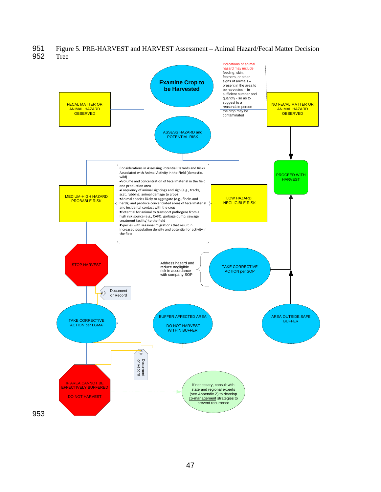951 Figure 5. PRE-HARVEST and HARVEST Assessment – Animal Hazard/Fecal Matter Decision 952 Tree



47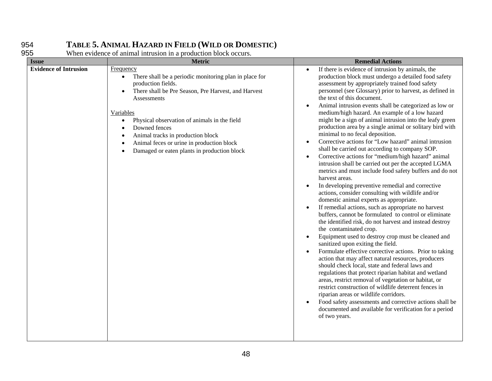# 954 **TABLE 5. ANIMAL HAZARD IN FIELD (WILD OR DOMESTIC)**

955 When evidence of animal intrusion in a production block occurs.

| <b>Issue</b>                 | <b>Metric</b>                                                                                                                                                                                                                                                                                                                                                                                                                | <b>Remedial Actions</b>                                                                                                                                                                                                                                                                                                                                                                                                                                                                                                                                                                                                                                                                                                                                                                                                                                                                                                                                                                                                                                                                                                                                                                                                                                                                                                                                                                                                                                                                                                                                                                                                                                                                                                                                                                                                                                                                                                                  |
|------------------------------|------------------------------------------------------------------------------------------------------------------------------------------------------------------------------------------------------------------------------------------------------------------------------------------------------------------------------------------------------------------------------------------------------------------------------|------------------------------------------------------------------------------------------------------------------------------------------------------------------------------------------------------------------------------------------------------------------------------------------------------------------------------------------------------------------------------------------------------------------------------------------------------------------------------------------------------------------------------------------------------------------------------------------------------------------------------------------------------------------------------------------------------------------------------------------------------------------------------------------------------------------------------------------------------------------------------------------------------------------------------------------------------------------------------------------------------------------------------------------------------------------------------------------------------------------------------------------------------------------------------------------------------------------------------------------------------------------------------------------------------------------------------------------------------------------------------------------------------------------------------------------------------------------------------------------------------------------------------------------------------------------------------------------------------------------------------------------------------------------------------------------------------------------------------------------------------------------------------------------------------------------------------------------------------------------------------------------------------------------------------------------|
| <b>Evidence of Intrusion</b> | <b>Frequency</b><br>There shall be a periodic monitoring plan in place for<br>$\bullet$<br>production fields.<br>There shall be Pre Season, Pre Harvest, and Harvest<br>Assessments<br>Variables<br>Physical observation of animals in the field<br>$\bullet$<br>Downed fences<br>Animal tracks in production block<br>Animal feces or urine in production block<br>Damaged or eaten plants in production block<br>$\bullet$ | If there is evidence of intrusion by animals, the<br>$\bullet$<br>production block must undergo a detailed food safety<br>assessment by appropriately trained food safety<br>personnel (see Glossary) prior to harvest, as defined in<br>the text of this document.<br>Animal intrusion events shall be categorized as low or<br>$\bullet$<br>medium/high hazard. An example of a low hazard<br>might be a sign of animal intrusion into the leafy green<br>production area by a single animal or solitary bird with<br>minimal to no fecal deposition.<br>Corrective actions for "Low hazard" animal intrusion<br>$\bullet$<br>shall be carried out according to company SOP.<br>Corrective actions for "medium/high hazard" animal<br>$\bullet$<br>intrusion shall be carried out per the accepted LGMA<br>metrics and must include food safety buffers and do not<br>harvest areas.<br>In developing preventive remedial and corrective<br>$\bullet$<br>actions, consider consulting with wildlife and/or<br>domestic animal experts as appropriate.<br>If remedial actions, such as appropriate no harvest<br>$\bullet$<br>buffers, cannot be formulated to control or eliminate<br>the identified risk, do not harvest and instead destroy<br>the contaminated crop.<br>Equipment used to destroy crop must be cleaned and<br>$\bullet$<br>sanitized upon exiting the field.<br>Formulate effective corrective actions. Prior to taking<br>$\bullet$<br>action that may affect natural resources, producers<br>should check local, state and federal laws and<br>regulations that protect riparian habitat and wetland<br>areas, restrict removal of vegetation or habitat, or<br>restrict construction of wildlife deterrent fences in<br>riparian areas or wildlife corridors.<br>Food safety assessments and corrective actions shall be<br>$\bullet$<br>documented and available for verification for a period<br>of two years. |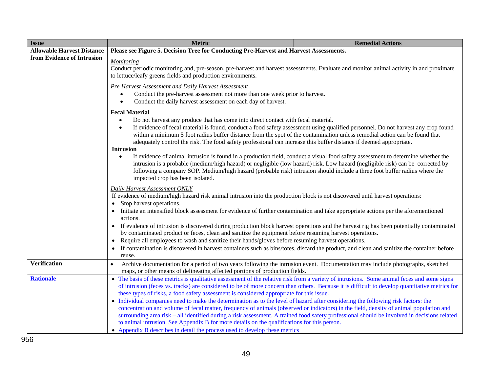| <b>Issue</b>                      | <b>Metric</b>                                                                                                                                                                                                                                                                                                                                                                                                                                                                                                                                                                                                                                                                                                                                                                                                                                                                                                                                                                                      | <b>Remedial Actions</b>                                                                                                           |
|-----------------------------------|----------------------------------------------------------------------------------------------------------------------------------------------------------------------------------------------------------------------------------------------------------------------------------------------------------------------------------------------------------------------------------------------------------------------------------------------------------------------------------------------------------------------------------------------------------------------------------------------------------------------------------------------------------------------------------------------------------------------------------------------------------------------------------------------------------------------------------------------------------------------------------------------------------------------------------------------------------------------------------------------------|-----------------------------------------------------------------------------------------------------------------------------------|
| <b>Allowable Harvest Distance</b> | Please see Figure 5. Decision Tree for Conducting Pre-Harvest and Harvest Assessments.                                                                                                                                                                                                                                                                                                                                                                                                                                                                                                                                                                                                                                                                                                                                                                                                                                                                                                             |                                                                                                                                   |
| from Evidence of Intrusion        | <b>Monitoring</b><br>Conduct periodic monitoring and, pre-season, pre-harvest and harvest assessments. Evaluate and monitor animal activity in and proximate<br>to lettuce/leafy greens fields and production environments.                                                                                                                                                                                                                                                                                                                                                                                                                                                                                                                                                                                                                                                                                                                                                                        |                                                                                                                                   |
|                                   | Pre Harvest Assessment and Daily Harvest Assessment<br>Conduct the pre-harvest assessment not more than one week prior to harvest.<br>$\bullet$<br>Conduct the daily harvest assessment on each day of harvest.<br>$\bullet$                                                                                                                                                                                                                                                                                                                                                                                                                                                                                                                                                                                                                                                                                                                                                                       |                                                                                                                                   |
|                                   | <b>Fecal Material</b><br>Do not harvest any produce that has come into direct contact with fecal material.<br>$\bullet$<br>$\bullet$<br>within a minimum 5 foot radius buffer distance from the spot of the contamination unless remedial action can be found that<br>adequately control the risk. The food safety professional can increase this buffer distance if deemed appropriate.                                                                                                                                                                                                                                                                                                                                                                                                                                                                                                                                                                                                           | If evidence of fecal material is found, conduct a food safety assessment using qualified personnel. Do not harvest any crop found |
|                                   | <b>Intrusion</b><br>If evidence of animal intrusion is found in a production field, conduct a visual food safety assessment to determine whether the<br>$\bullet$<br>intrusion is a probable (medium/high hazard) or negligible (low hazard) risk. Low hazard (negligible risk) can be corrected by<br>following a company SOP. Medium/high hazard (probable risk) intrusion should include a three foot buffer radius where the<br>impacted crop has been isolated.                                                                                                                                                                                                                                                                                                                                                                                                                                                                                                                               |                                                                                                                                   |
|                                   | Daily Harvest Assessment ONLY<br>If evidence of medium/high hazard risk animal intrusion into the production block is not discovered until harvest operations:<br>Stop harvest operations.<br>• Initiate an intensified block assessment for evidence of further contamination and take appropriate actions per the aforementioned<br>actions.                                                                                                                                                                                                                                                                                                                                                                                                                                                                                                                                                                                                                                                     |                                                                                                                                   |
|                                   | • If evidence of intrusion is discovered during production block harvest operations and the harvest rig has been potentially contaminated<br>by contaminated product or feces, clean and sanitize the equipment before resuming harvest operations.<br>• Require all employees to wash and sanitize their hands/gloves before resuming harvest operations.<br>If contamination is discovered in harvest containers such as bins/totes, discard the product, and clean and sanitize the container before<br>reuse.                                                                                                                                                                                                                                                                                                                                                                                                                                                                                  |                                                                                                                                   |
| <b>Verification</b>               | Archive documentation for a period of two years following the intrusion event. Documentation may include photographs, sketched<br>$\bullet$<br>maps, or other means of delineating affected portions of production fields.                                                                                                                                                                                                                                                                                                                                                                                                                                                                                                                                                                                                                                                                                                                                                                         |                                                                                                                                   |
| <b>Rationale</b>                  | • The basis of these metrics is qualitative assessment of the relative risk from a variety of intrusions. Some animal feces and some signs<br>of intrusion (feces vs. tracks) are considered to be of more concern than others. Because it is difficult to develop quantitative metrics for<br>these types of risks, a food safety assessment is considered appropriate for this issue.<br>• Individual companies need to make the determination as to the level of hazard after considering the following risk factors: the<br>concentration and volume of fecal matter, frequency of animals (observed or indicators) in the field, density of animal population and<br>surrounding area risk - all identified during a risk assessment. A trained food safety professional should be involved in decisions related<br>to animal intrusion. See Appendix B for more details on the qualifications for this person.<br>• Appendix B describes in detail the process used to develop these metrics |                                                                                                                                   |
| <b>ro</b>                         |                                                                                                                                                                                                                                                                                                                                                                                                                                                                                                                                                                                                                                                                                                                                                                                                                                                                                                                                                                                                    |                                                                                                                                   |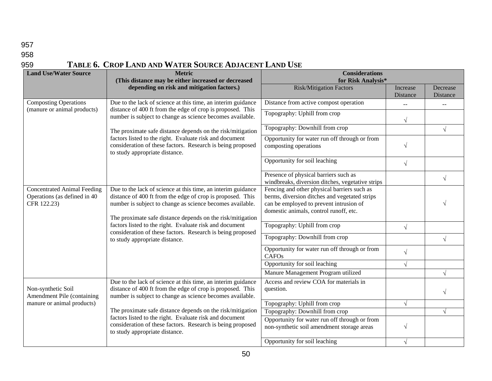### 958

# 959 **TABLE 6. CROP LAND AND WATER SOURCE ADJACENT LAND USE**

| <b>Land Use/Water Source</b>                                                      | <b>Metric</b><br>(This distance may be either increased or decreased                                                                                                                                                                                                                                                                                                                                             | <b>Considerations</b><br>for Risk Analysis*                                                                                                                                       |                      |                      |
|-----------------------------------------------------------------------------------|------------------------------------------------------------------------------------------------------------------------------------------------------------------------------------------------------------------------------------------------------------------------------------------------------------------------------------------------------------------------------------------------------------------|-----------------------------------------------------------------------------------------------------------------------------------------------------------------------------------|----------------------|----------------------|
|                                                                                   | depending on risk and mitigation factors.)                                                                                                                                                                                                                                                                                                                                                                       | <b>Risk/Mitigation Factors</b>                                                                                                                                                    | Increase<br>Distance | Decrease<br>Distance |
| <b>Composting Operations</b>                                                      | Due to the lack of science at this time, an interim guidance                                                                                                                                                                                                                                                                                                                                                     | Distance from active compost operation                                                                                                                                            | $\frac{1}{2}$        |                      |
| (manure or animal products)                                                       | distance of 400 ft from the edge of crop is proposed. This<br>number is subject to change as science becomes available.                                                                                                                                                                                                                                                                                          | Topography: Uphill from crop                                                                                                                                                      | $\sqrt{}$            |                      |
|                                                                                   | The proximate safe distance depends on the risk/mitigation                                                                                                                                                                                                                                                                                                                                                       | Topography: Downhill from crop                                                                                                                                                    |                      | $\sqrt{}$            |
|                                                                                   | factors listed to the right. Evaluate risk and document<br>consideration of these factors. Research is being proposed<br>to study appropriate distance.                                                                                                                                                                                                                                                          | Opportunity for water run off through or from<br>composting operations                                                                                                            | $\sqrt{ }$           |                      |
|                                                                                   |                                                                                                                                                                                                                                                                                                                                                                                                                  | Opportunity for soil leaching                                                                                                                                                     | $\sqrt{}$            |                      |
|                                                                                   |                                                                                                                                                                                                                                                                                                                                                                                                                  | Presence of physical barriers such as<br>windbreaks, diversion ditches, vegetative strips                                                                                         |                      | $\sqrt{}$            |
| <b>Concentrated Animal Feeding</b><br>Operations (as defined in 40<br>CFR 122.23) | Due to the lack of science at this time, an interim guidance<br>distance of 400 ft from the edge of crop is proposed. This<br>number is subject to change as science becomes available.<br>The proximate safe distance depends on the risk/mitigation<br>factors listed to the right. Evaluate risk and document<br>consideration of these factors. Research is being proposed<br>to study appropriate distance. | Fencing and other physical barriers such as<br>berms, diversion ditches and vegetated strips<br>can be employed to prevent intrusion of<br>domestic animals, control runoff, etc. |                      |                      |
|                                                                                   |                                                                                                                                                                                                                                                                                                                                                                                                                  | Topography: Uphill from crop                                                                                                                                                      | $\sqrt{}$            |                      |
|                                                                                   |                                                                                                                                                                                                                                                                                                                                                                                                                  | Topography: Downhill from crop                                                                                                                                                    |                      | $\sqrt{}$            |
|                                                                                   |                                                                                                                                                                                                                                                                                                                                                                                                                  | Opportunity for water run off through or from<br>CAFOs                                                                                                                            | $\sqrt{}$            |                      |
|                                                                                   |                                                                                                                                                                                                                                                                                                                                                                                                                  | Opportunity for soil leaching                                                                                                                                                     | $\sqrt{}$            |                      |
|                                                                                   |                                                                                                                                                                                                                                                                                                                                                                                                                  | Manure Management Program utilized                                                                                                                                                |                      | $\sqrt{}$            |
| Non-synthetic Soil<br>Amendment Pile (containing                                  | Due to the lack of science at this time, an interim guidance<br>distance of 400 ft from the edge of crop is proposed. This<br>number is subject to change as science becomes available.                                                                                                                                                                                                                          | Access and review COA for materials in<br>question.                                                                                                                               |                      | V                    |
| manure or animal products)                                                        |                                                                                                                                                                                                                                                                                                                                                                                                                  | Topography: Uphill from crop                                                                                                                                                      | $\sqrt{}$            |                      |
|                                                                                   | The proximate safe distance depends on the risk/mitigation<br>factors listed to the right. Evaluate risk and document<br>consideration of these factors. Research is being proposed<br>to study appropriate distance.                                                                                                                                                                                            | Topography: Downhill from crop                                                                                                                                                    |                      | V                    |
|                                                                                   |                                                                                                                                                                                                                                                                                                                                                                                                                  | Opportunity for water run off through or from<br>non-synthetic soil amendment storage areas                                                                                       | $\sqrt{}$            |                      |
|                                                                                   |                                                                                                                                                                                                                                                                                                                                                                                                                  | Opportunity for soil leaching                                                                                                                                                     | $\sqrt{}$            |                      |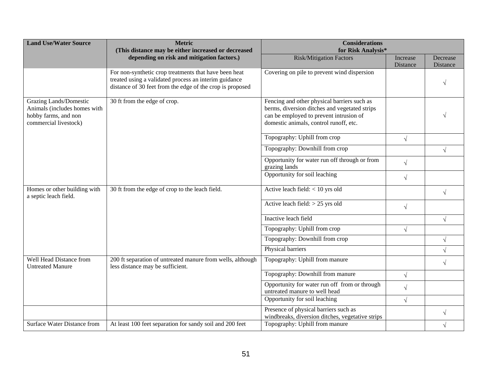| <b>Land Use/Water Source</b>                                                                                   | <b>Metric</b><br>(This distance may be either increased or decreased                                                                                                        | <b>Considerations</b><br>for Risk Analysis*                                                                                                                                       |                      |                      |
|----------------------------------------------------------------------------------------------------------------|-----------------------------------------------------------------------------------------------------------------------------------------------------------------------------|-----------------------------------------------------------------------------------------------------------------------------------------------------------------------------------|----------------------|----------------------|
|                                                                                                                | depending on risk and mitigation factors.)                                                                                                                                  | <b>Risk/Mitigation Factors</b>                                                                                                                                                    | Increase<br>Distance | Decrease<br>Distance |
|                                                                                                                | For non-synthetic crop treatments that have been heat<br>treated using a validated process an interim guidance<br>distance of 30 feet from the edge of the crop is proposed | Covering on pile to prevent wind dispersion                                                                                                                                       |                      |                      |
| <b>Grazing Lands/Domestic</b><br>Animals (includes homes with<br>hobby farms, and non<br>commercial livestock) | 30 ft from the edge of crop.                                                                                                                                                | Fencing and other physical barriers such as<br>berms, diversion ditches and vegetated strips<br>can be employed to prevent intrusion of<br>domestic animals, control runoff, etc. |                      |                      |
|                                                                                                                |                                                                                                                                                                             | Topography: Uphill from crop                                                                                                                                                      | $\sqrt{ }$           |                      |
|                                                                                                                |                                                                                                                                                                             | Topography: Downhill from crop                                                                                                                                                    |                      | $\sqrt{ }$           |
|                                                                                                                |                                                                                                                                                                             | Opportunity for water run off through or from<br>grazing lands                                                                                                                    | $\sqrt{ }$           |                      |
|                                                                                                                |                                                                                                                                                                             | Opportunity for soil leaching                                                                                                                                                     | $\sqrt{ }$           |                      |
| Homes or other building with<br>a septic leach field.                                                          | 30 ft from the edge of crop to the leach field.                                                                                                                             | Active leach field: $<$ 10 yrs old                                                                                                                                                |                      | $\sqrt{}$            |
|                                                                                                                |                                                                                                                                                                             | Active leach field: $> 25$ yrs old                                                                                                                                                | $\sqrt{ }$           |                      |
|                                                                                                                |                                                                                                                                                                             | Inactive leach field                                                                                                                                                              |                      | $\sqrt{}$            |
|                                                                                                                |                                                                                                                                                                             | Topography: Uphill from crop                                                                                                                                                      | $\sqrt{ }$           |                      |
|                                                                                                                |                                                                                                                                                                             | Topography: Downhill from crop                                                                                                                                                    |                      | $\sqrt{}$            |
|                                                                                                                |                                                                                                                                                                             | Physical barriers                                                                                                                                                                 |                      |                      |
| Well Head Distance from<br><b>Untreated Manure</b>                                                             | 200 ft separation of untreated manure from wells, although<br>less distance may be sufficient.                                                                              | Topography: Uphill from manure                                                                                                                                                    |                      | $\sqrt{}$            |
|                                                                                                                |                                                                                                                                                                             | Topography: Downhill from manure                                                                                                                                                  | $\sqrt{ }$           |                      |
|                                                                                                                |                                                                                                                                                                             | Opportunity for water run off from or through<br>untreated manure to well head                                                                                                    | $\sqrt{ }$           |                      |
|                                                                                                                |                                                                                                                                                                             | Opportunity for soil leaching                                                                                                                                                     | $\sqrt{ }$           |                      |
|                                                                                                                |                                                                                                                                                                             | Presence of physical barriers such as<br>windbreaks, diversion ditches, vegetative strips                                                                                         |                      | $\sqrt{}$            |
| <b>Surface Water Distance from</b>                                                                             | At least 100 feet separation for sandy soil and 200 feet                                                                                                                    | Topography: Uphill from manure                                                                                                                                                    |                      | $\sqrt{}$            |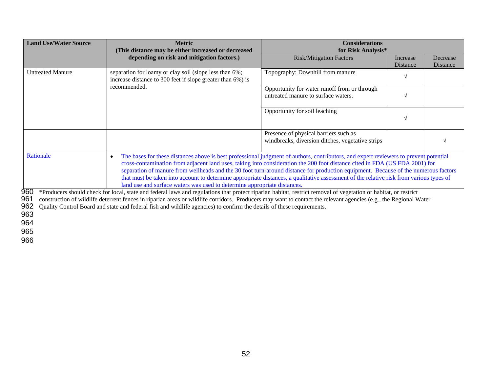| <b>Land Use/Water Source</b> | <b>Metric</b><br>(This distance may be either increased or decreased                                                                                                                                                                                                                                                                                                                                                                                                                                                                                                                                                                           | <b>Considerations</b><br>for Risk Analysis*                                               |                             |                      |
|------------------------------|------------------------------------------------------------------------------------------------------------------------------------------------------------------------------------------------------------------------------------------------------------------------------------------------------------------------------------------------------------------------------------------------------------------------------------------------------------------------------------------------------------------------------------------------------------------------------------------------------------------------------------------------|-------------------------------------------------------------------------------------------|-----------------------------|----------------------|
|                              | depending on risk and mitigation factors.)                                                                                                                                                                                                                                                                                                                                                                                                                                                                                                                                                                                                     | <b>Risk/Mitigation Factors</b>                                                            | Increase<br><b>Distance</b> | Decrease<br>Distance |
| <b>Untreated Manure</b>      | separation for loamy or clay soil (slope less than 6%;<br>increase distance to 300 feet if slope greater than 6%) is                                                                                                                                                                                                                                                                                                                                                                                                                                                                                                                           | Topography: Downhill from manure                                                          | $\sqrt{ }$                  |                      |
|                              | recommended.                                                                                                                                                                                                                                                                                                                                                                                                                                                                                                                                                                                                                                   | Opportunity for water runoff from or through<br>untreated manure to surface waters.       | $\sqrt{ }$                  |                      |
|                              |                                                                                                                                                                                                                                                                                                                                                                                                                                                                                                                                                                                                                                                | Opportunity for soil leaching                                                             | $\sqrt{ }$                  |                      |
|                              |                                                                                                                                                                                                                                                                                                                                                                                                                                                                                                                                                                                                                                                | Presence of physical barriers such as<br>windbreaks, diversion ditches, vegetative strips |                             |                      |
| Rationale                    | The bases for these distances above is best professional judgment of authors, contributors, and expert reviewers to prevent potential<br>$\bullet$<br>cross-contamination from adjacent land uses, taking into consideration the 200 foot distance cited in FDA (US FDA 2001) for<br>separation of manure from wellheads and the 30 foot turn-around distance for production equipment. Because of the numerous factors<br>that must be taken into account to determine appropriate distances, a qualitative assessment of the relative risk from various types of<br>land use and surface waters was used to determine appropriate distances. |                                                                                           |                             |                      |
| 960                          | *Producers should check for local, state and federal laws and regulations that protect riparian habitat, restrict removal of vegetation or habitat, or restrict                                                                                                                                                                                                                                                                                                                                                                                                                                                                                |                                                                                           |                             |                      |
| 961<br>962                   | construction of wildlife deterrent fences in riparian areas or wildlife corridors. Producers may want to contact the relevant agencies (e.g., the Regional Water<br>Quality Control Board and state and federal fish and wildlife agencies) to confirm the details of these requirements.                                                                                                                                                                                                                                                                                                                                                      |                                                                                           |                             |                      |
| 963                          |                                                                                                                                                                                                                                                                                                                                                                                                                                                                                                                                                                                                                                                |                                                                                           |                             |                      |
| 964                          |                                                                                                                                                                                                                                                                                                                                                                                                                                                                                                                                                                                                                                                |                                                                                           |                             |                      |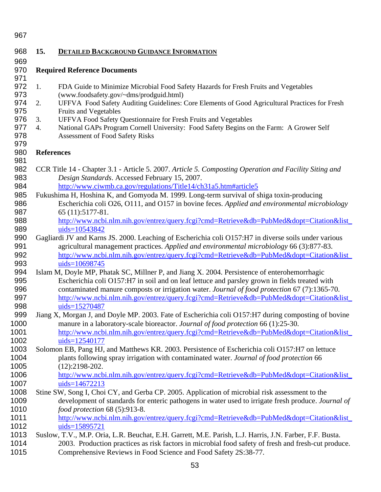| 968  | 15.               | <b>DETAILED BACKGROUND GUIDANCE INFORMATION</b>                                                         |
|------|-------------------|---------------------------------------------------------------------------------------------------------|
| 969  |                   |                                                                                                         |
| 970  |                   | <b>Required Reference Documents</b>                                                                     |
| 971  |                   |                                                                                                         |
| 972  | 1.                | FDA Guide to Minimize Microbial Food Safety Hazards for Fresh Fruits and Vegetables                     |
| 973  |                   | (www.foodsafety.gov/~dms/prodguid.html)                                                                 |
| 974  | 2.                | UFFVA Food Safety Auditing Guidelines: Core Elements of Good Agricultural Practices for Fresh           |
| 975  |                   | Fruits and Vegetables                                                                                   |
| 976  | 3.                | UFFVA Food Safety Questionnaire for Fresh Fruits and Vegetables                                         |
| 977  |                   |                                                                                                         |
|      | 4.                | National GAPs Program Cornell University: Food Safety Begins on the Farm: A Grower Self                 |
| 978  |                   | <b>Assessment of Food Safety Risks</b>                                                                  |
| 979  |                   |                                                                                                         |
| 980  | <b>References</b> |                                                                                                         |
| 981  |                   |                                                                                                         |
| 982  |                   | CCR Title 14 - Chapter 3.1 - Article 5. 2007. Article 5. Composting Operation and Facility Siting and   |
| 983  |                   | Design Standards. Accessed February 15, 2007.                                                           |
| 984  |                   | http://www.ciwmb.ca.gov/regulations/Title14/ch31a5.htm#article5                                         |
| 985  |                   | Fukushima H, Hoshina K, and Gomyoda M. 1999. Long-term survival of shiga toxin-producing                |
| 986  |                   | Escherichia coli O26, O111, and O157 in bovine feces. Applied and environmental microbiology            |
| 987  |                   | 65 (11):5177-81.                                                                                        |
| 988  |                   | http://www.ncbi.nlm.nih.gov/entrez/query.fcgi?cmd=Retrieve&db=PubMed&dopt=Citation&list                 |
| 989  |                   | uids=10543842                                                                                           |
| 990  |                   | Gagliardi JV and Karns JS. 2000. Leaching of Escherichia coli O157:H7 in diverse soils under various    |
| 991  |                   | agricultural management practices. Applied and environmental microbiology 66 (3):877-83.                |
| 992  |                   | http://www.ncbi.nlm.nih.gov/entrez/query.fcgi?cmd=Retrieve&db=PubMed&dopt=Citation&list                 |
| 993  |                   | uids=10698745                                                                                           |
|      |                   |                                                                                                         |
| 994  |                   | Islam M, Doyle MP, Phatak SC, Millner P, and Jiang X. 2004. Persistence of enterohemorrhagic            |
| 995  |                   | Escherichia coli O157:H7 in soil and on leaf lettuce and parsley grown in fields treated with           |
| 996  |                   | contaminated manure composts or irrigation water. Journal of food protection 67 (7):1365-70.            |
| 997  |                   | http://www.ncbi.nlm.nih.gov/entrez/query.fcgi?cmd=Retrieve&db=PubMed&dopt=Citation&list                 |
| 998  |                   | uids=15270487                                                                                           |
| 999  |                   | Jiang X, Morgan J, and Doyle MP. 2003. Fate of Escherichia coli O157:H7 during composting of bovine     |
| 1000 |                   | manure in a laboratory-scale bioreactor. Journal of food protection 66 (1):25-30.                       |
| 1001 |                   | http://www.ncbi.nlm.nih.gov/entrez/query.fcgi?cmd=Retrieve&db=PubMed&dopt=Citation&list_                |
| 1002 |                   | uids=12540177                                                                                           |
| 1003 |                   | Solomon EB, Pang HJ, and Matthews KR. 2003. Persistence of Escherichia coli O157:H7 on lettuce          |
| 1004 |                   | plants following spray irrigation with contaminated water. Journal of food protection 66                |
| 1005 |                   | $(12):2198-202.$                                                                                        |
| 1006 |                   | http://www.ncbi.nlm.nih.gov/entrez/query.fcgi?cmd=Retrieve&db=PubMed&dopt=Citation&list                 |
| 1007 |                   | uids=14672213                                                                                           |
| 1008 |                   | Stine SW, Song I, Choi CY, and Gerba CP. 2005. Application of microbial risk assessment to the          |
|      |                   |                                                                                                         |
| 1009 |                   | development of standards for enteric pathogens in water used to irrigate fresh produce. Journal of      |
| 1010 |                   | food protection 68 (5):913-8.                                                                           |
| 1011 |                   | http://www.ncbi.nlm.nih.gov/entrez/query.fcgi?cmd=Retrieve&db=PubMed&dopt=Citation&list_                |
| 1012 |                   | uids=15895721                                                                                           |
| 1013 |                   | Suslow, T.V., M.P. Oria, L.R. Beuchat, E.H. Garrett, M.E. Parish, L.J. Harris, J.N. Farber, F.F. Busta. |
| 1014 |                   | 2003. Production practices as risk factors in microbial food safety of fresh and fresh-cut produce.     |
| 1015 |                   | Comprehensive Reviews in Food Science and Food Safety 2S:38-77.                                         |
|      |                   |                                                                                                         |